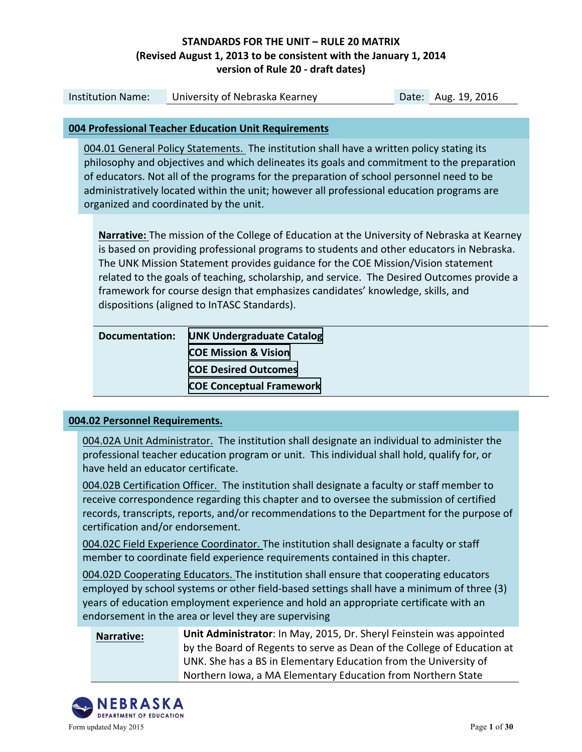| <b>Institution Name:</b>                                                                                                                                                                                                                                                                                                                                                                                                                                                                                          | Date: Aug. 19, 2016<br>University of Nebraska Kearney                                                                                                                                                                                                                                                                                                                                                                      |  |  |
|-------------------------------------------------------------------------------------------------------------------------------------------------------------------------------------------------------------------------------------------------------------------------------------------------------------------------------------------------------------------------------------------------------------------------------------------------------------------------------------------------------------------|----------------------------------------------------------------------------------------------------------------------------------------------------------------------------------------------------------------------------------------------------------------------------------------------------------------------------------------------------------------------------------------------------------------------------|--|--|
|                                                                                                                                                                                                                                                                                                                                                                                                                                                                                                                   |                                                                                                                                                                                                                                                                                                                                                                                                                            |  |  |
|                                                                                                                                                                                                                                                                                                                                                                                                                                                                                                                   | 004 Professional Teacher Education Unit Requirements                                                                                                                                                                                                                                                                                                                                                                       |  |  |
|                                                                                                                                                                                                                                                                                                                                                                                                                                                                                                                   | 004.01 General Policy Statements. The institution shall have a written policy stating its<br>philosophy and objectives and which delineates its goals and commitment to the preparation<br>of educators. Not all of the programs for the preparation of school personnel need to be<br>administratively located within the unit; however all professional education programs are<br>organized and coordinated by the unit. |  |  |
| <b>Narrative:</b> The mission of the College of Education at the University of Nebraska at Kearney<br>is based on providing professional programs to students and other educators in Nebraska.<br>The UNK Mission Statement provides guidance for the COE Mission/Vision statement<br>related to the goals of teaching, scholarship, and service. The Desired Outcomes provide a<br>framework for course design that emphasizes candidates' knowledge, skills, and<br>dispositions (aligned to InTASC Standards). |                                                                                                                                                                                                                                                                                                                                                                                                                            |  |  |
| <b>Documentation:</b>                                                                                                                                                                                                                                                                                                                                                                                                                                                                                             | <b>UNK Undergraduate Catalog</b>                                                                                                                                                                                                                                                                                                                                                                                           |  |  |
|                                                                                                                                                                                                                                                                                                                                                                                                                                                                                                                   | <b>COE Mission &amp; Vision</b>                                                                                                                                                                                                                                                                                                                                                                                            |  |  |
|                                                                                                                                                                                                                                                                                                                                                                                                                                                                                                                   | <b>COE Desired Outcomes</b>                                                                                                                                                                                                                                                                                                                                                                                                |  |  |
|                                                                                                                                                                                                                                                                                                                                                                                                                                                                                                                   | <b>COE Conceptual Framework</b>                                                                                                                                                                                                                                                                                                                                                                                            |  |  |
| 004.02 Personnel Requirements.                                                                                                                                                                                                                                                                                                                                                                                                                                                                                    |                                                                                                                                                                                                                                                                                                                                                                                                                            |  |  |

004.02A Unit Administrator. The institution shall designate an individual to administer the professional teacher education program or unit. This individual shall hold, qualify for, or have held an educator certificate.

004.02B Certification Officer. The institution shall designate a faculty or staff member to receive correspondence regarding this chapter and to oversee the submission of certified records, transcripts, reports, and/or recommendations to the Department for the purpose of certification and/or endorsement.

004.02C Field Experience Coordinator. The institution shall designate a faculty or staff member to coordinate field experience requirements contained in this chapter.

004.02D Cooperating Educators. The institution shall ensure that cooperating educators employed by school systems or other field-based settings shall have a minimum of three (3) years of education employment experience and hold an appropriate certificate with an endorsement in the area or level they are supervising

**Narrative:** Unit Administrator: In May, 2015, Dr. Sheryl Feinstein was appointed by the Board of Regents to serve as Dean of the College of Education at UNK. She has a BS in Elementary Education from the University of Northern Iowa, a MA Elementary Education from Northern State

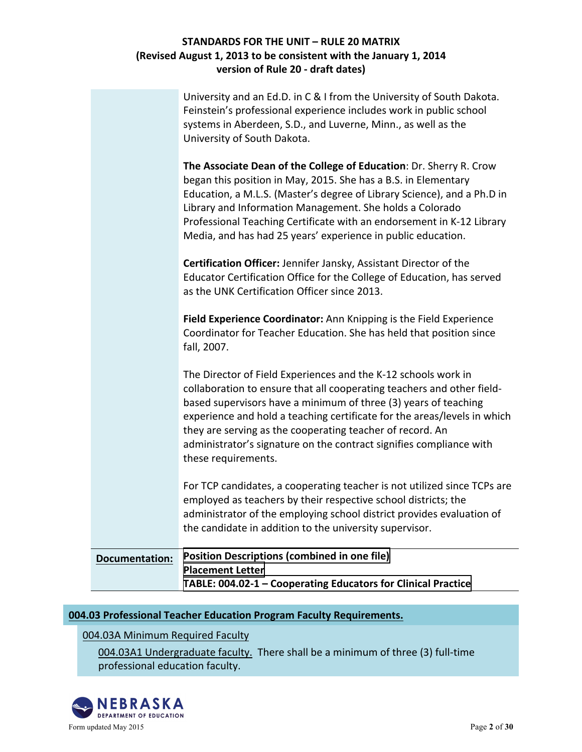| <b>Documentation:</b> | <b>Position Descriptions (combined in one file)</b><br><b>Placement Letter</b><br>TABLE: 004.02-1 - Cooperating Educators for Clinical Practice                                                                                                                                                                                                                                                                                                                                                                                                                                           |
|-----------------------|-------------------------------------------------------------------------------------------------------------------------------------------------------------------------------------------------------------------------------------------------------------------------------------------------------------------------------------------------------------------------------------------------------------------------------------------------------------------------------------------------------------------------------------------------------------------------------------------|
|                       | For TCP candidates, a cooperating teacher is not utilized since TCPs are<br>employed as teachers by their respective school districts; the<br>administrator of the employing school district provides evaluation of<br>the candidate in addition to the university supervisor.                                                                                                                                                                                                                                                                                                            |
|                       | The Director of Field Experiences and the K-12 schools work in<br>collaboration to ensure that all cooperating teachers and other field-<br>based supervisors have a minimum of three (3) years of teaching<br>experience and hold a teaching certificate for the areas/levels in which<br>they are serving as the cooperating teacher of record. An<br>administrator's signature on the contract signifies compliance with<br>these requirements.                                                                                                                                        |
|                       | Educator Certification Office for the College of Education, has served<br>as the UNK Certification Officer since 2013.<br>Field Experience Coordinator: Ann Knipping is the Field Experience<br>Coordinator for Teacher Education. She has held that position since<br>fall, 2007.                                                                                                                                                                                                                                                                                                        |
|                       | systems in Aberdeen, S.D., and Luverne, Minn., as well as the<br>University of South Dakota.<br>The Associate Dean of the College of Education: Dr. Sherry R. Crow<br>began this position in May, 2015. She has a B.S. in Elementary<br>Education, a M.L.S. (Master's degree of Library Science), and a Ph.D in<br>Library and Information Management. She holds a Colorado<br>Professional Teaching Certificate with an endorsement in K-12 Library<br>Media, and has had 25 years' experience in public education.<br>Certification Officer: Jennifer Jansky, Assistant Director of the |
|                       | University and an Ed.D. in C & I from the University of South Dakota.<br>Feinstein's professional experience includes work in public school                                                                                                                                                                                                                                                                                                                                                                                                                                               |

## **004.03 Professional Teacher Education Program Faculty Requirements.**

004.03A Minimum Required Faculty

004.03A1 Undergraduate faculty. There shall be a minimum of three (3) full-time professional education faculty.

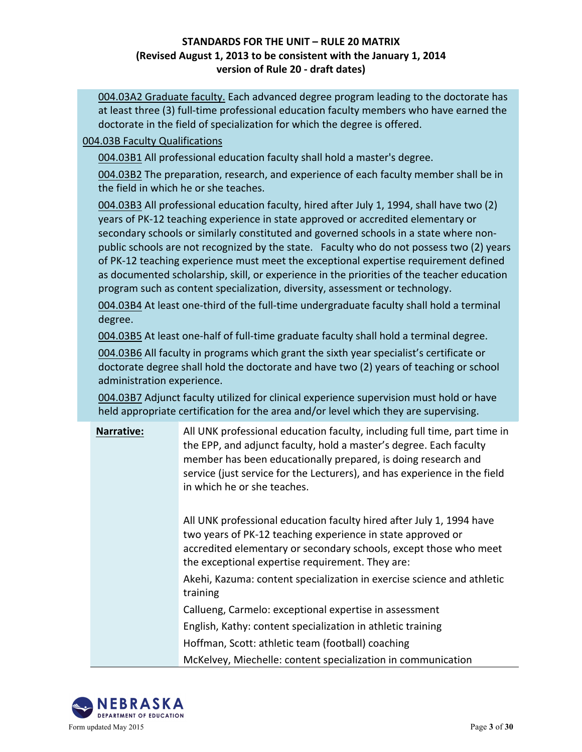004.03A2 Graduate faculty. Each advanced degree program leading to the doctorate has at least three (3) full-time professional education faculty members who have earned the doctorate in the field of specialization for which the degree is offered.

#### 004.03B Faculty Qualifications

004.03B1 All professional education faculty shall hold a master's degree.

004.03B2 The preparation, research, and experience of each faculty member shall be in the field in which he or she teaches.

004.03B3 All professional education faculty, hired after July 1, 1994, shall have two (2) years of PK-12 teaching experience in state approved or accredited elementary or secondary schools or similarly constituted and governed schools in a state where nonpublic schools are not recognized by the state. Faculty who do not possess two (2) years of PK-12 teaching experience must meet the exceptional expertise requirement defined as documented scholarship, skill, or experience in the priorities of the teacher education program such as content specialization, diversity, assessment or technology.

004.03B4 At least one-third of the full-time undergraduate faculty shall hold a terminal degree.

004.03B5 At least one-half of full-time graduate faculty shall hold a terminal degree.

004.03B6 All faculty in programs which grant the sixth year specialist's certificate or doctorate degree shall hold the doctorate and have two (2) years of teaching or school administration experience.

004.03B7 Adjunct faculty utilized for clinical experience supervision must hold or have held appropriate certification for the area and/or level which they are supervising.

| <b>Narrative:</b> | All UNK professional education faculty, including full time, part time in<br>the EPP, and adjunct faculty, hold a master's degree. Each faculty<br>member has been educationally prepared, is doing research and<br>service (just service for the Lecturers), and has experience in the field<br>in which he or she teaches. |
|-------------------|------------------------------------------------------------------------------------------------------------------------------------------------------------------------------------------------------------------------------------------------------------------------------------------------------------------------------|
|                   | All UNK professional education faculty hired after July 1, 1994 have<br>two years of PK-12 teaching experience in state approved or<br>accredited elementary or secondary schools, except those who meet<br>the exceptional expertise requirement. They are:                                                                 |
|                   | Akehi, Kazuma: content specialization in exercise science and athletic<br>training                                                                                                                                                                                                                                           |
|                   | Callueng, Carmelo: exceptional expertise in assessment                                                                                                                                                                                                                                                                       |

English, Kathy: content specialization in athletic training

Hoffman, Scott: athletic team (football) coaching

McKelvey, Miechelle: content specialization in communication

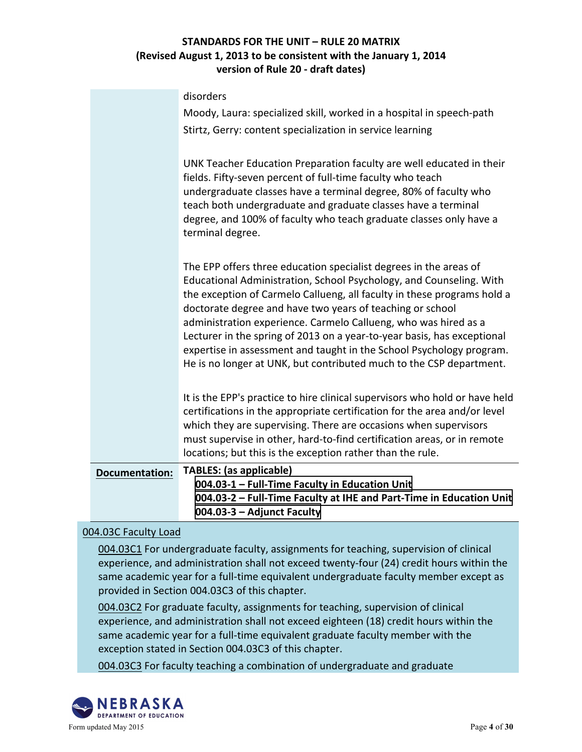|                       | 004.03-1 - Full-Time Faculty in Education Unit<br>004.03-2 - Full-Time Faculty at IHE and Part-Time in Education Unit<br>004.03-3 - Adjunct Faculty                                                                                                                                                                                                                                                                                                                                                                                                                           |
|-----------------------|-------------------------------------------------------------------------------------------------------------------------------------------------------------------------------------------------------------------------------------------------------------------------------------------------------------------------------------------------------------------------------------------------------------------------------------------------------------------------------------------------------------------------------------------------------------------------------|
| <b>Documentation:</b> | must supervise in other, hard-to-find certification areas, or in remote<br>locations; but this is the exception rather than the rule.<br><b>TABLES:</b> (as applicable)                                                                                                                                                                                                                                                                                                                                                                                                       |
|                       | It is the EPP's practice to hire clinical supervisors who hold or have held<br>certifications in the appropriate certification for the area and/or level<br>which they are supervising. There are occasions when supervisors                                                                                                                                                                                                                                                                                                                                                  |
|                       | The EPP offers three education specialist degrees in the areas of<br>Educational Administration, School Psychology, and Counseling. With<br>the exception of Carmelo Callueng, all faculty in these programs hold a<br>doctorate degree and have two years of teaching or school<br>administration experience. Carmelo Callueng, who was hired as a<br>Lecturer in the spring of 2013 on a year-to-year basis, has exceptional<br>expertise in assessment and taught in the School Psychology program.<br>He is no longer at UNK, but contributed much to the CSP department. |
|                       | UNK Teacher Education Preparation faculty are well educated in their<br>fields. Fifty-seven percent of full-time faculty who teach<br>undergraduate classes have a terminal degree, 80% of faculty who<br>teach both undergraduate and graduate classes have a terminal<br>degree, and 100% of faculty who teach graduate classes only have a<br>terminal degree.                                                                                                                                                                                                             |
|                       | disorders<br>Moody, Laura: specialized skill, worked in a hospital in speech-path<br>Stirtz, Gerry: content specialization in service learning                                                                                                                                                                                                                                                                                                                                                                                                                                |

### 004.03C Faculty Load

004.03C1 For undergraduate faculty, assignments for teaching, supervision of clinical experience, and administration shall not exceed twenty-four (24) credit hours within the same academic year for a full-time equivalent undergraduate faculty member except as provided in Section 004.03C3 of this chapter.

004.03C2 For graduate faculty, assignments for teaching, supervision of clinical experience, and administration shall not exceed eighteen (18) credit hours within the same academic year for a full-time equivalent graduate faculty member with the exception stated in Section 004.03C3 of this chapter.

004.03C3 For faculty teaching a combination of undergraduate and graduate

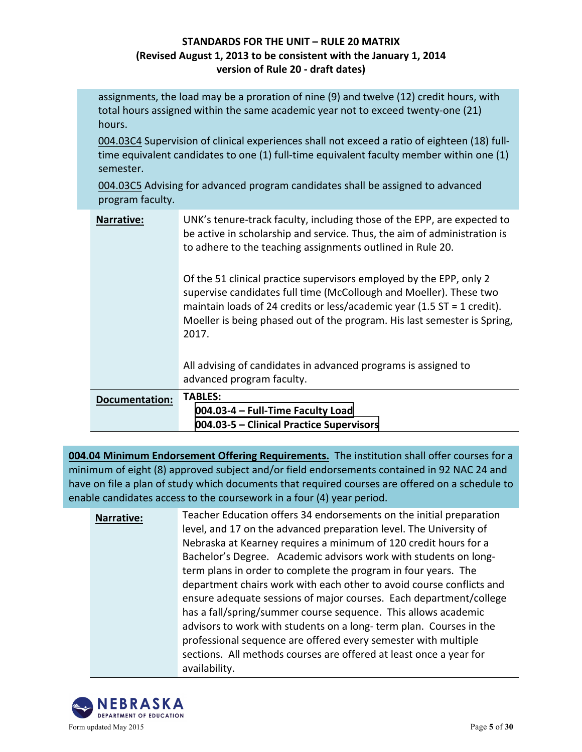assignments, the load may be a proration of nine  $(9)$  and twelve  $(12)$  credit hours, with total hours assigned within the same academic year not to exceed twenty-one (21) hours.

004.03C4 Supervision of clinical experiences shall not exceed a ratio of eighteen (18) fulltime equivalent candidates to one  $(1)$  full-time equivalent faculty member within one  $(1)$ semester.

004.03C5 Advising for advanced program candidates shall be assigned to advanced program faculty.

| <b>Narrative:</b>     | UNK's tenure-track faculty, including those of the EPP, are expected to<br>be active in scholarship and service. Thus, the aim of administration is<br>to adhere to the teaching assignments outlined in Rule 20.                                                                                           |
|-----------------------|-------------------------------------------------------------------------------------------------------------------------------------------------------------------------------------------------------------------------------------------------------------------------------------------------------------|
|                       | Of the 51 clinical practice supervisors employed by the EPP, only 2<br>supervise candidates full time (McCollough and Moeller). These two<br>maintain loads of 24 credits or less/academic year (1.5 $ST = 1$ credit).<br>Moeller is being phased out of the program. His last semester is Spring,<br>2017. |
|                       | All advising of candidates in advanced programs is assigned to<br>advanced program faculty.                                                                                                                                                                                                                 |
| <b>Documentation:</b> | <b>TABLES:</b><br>004.03-4 - Full-Time Faculty Load<br>004.03-5 – Clinical Practice Supervisors                                                                                                                                                                                                             |

**004.04 Minimum Endorsement Offering Requirements.** The institution shall offer courses for a minimum of eight (8) approved subject and/or field endorsements contained in 92 NAC 24 and have on file a plan of study which documents that required courses are offered on a schedule to enable candidates access to the coursework in a four (4) year period.

**Narrative:** Teacher Education offers 34 endorsements on the initial preparation level, and 17 on the advanced preparation level. The University of Nebraska at Kearney requires a minimum of 120 credit hours for a Bachelor's Degree. Academic advisors work with students on longterm plans in order to complete the program in four years. The department chairs work with each other to avoid course conflicts and ensure adequate sessions of major courses. Each department/college has a fall/spring/summer course sequence. This allows academic advisors to work with students on a long-term plan. Courses in the professional sequence are offered every semester with multiple sections. All methods courses are offered at least once a year for availability.

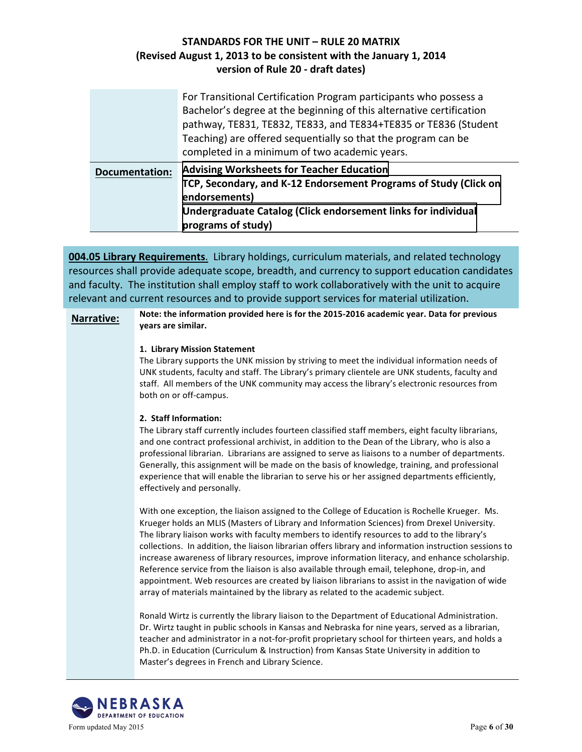|                       | For Transitional Certification Program participants who possess a<br>Bachelor's degree at the beginning of this alternative certification<br>pathway, TE831, TE832, TE833, and TE834+TE835 or TE836 (Student<br>Teaching) are offered sequentially so that the program can be<br>completed in a minimum of two academic years. |
|-----------------------|--------------------------------------------------------------------------------------------------------------------------------------------------------------------------------------------------------------------------------------------------------------------------------------------------------------------------------|
| <b>Documentation:</b> | <b>Advising Worksheets for Teacher Education</b><br>TCP, Secondary, and K-12 Endorsement Programs of Study (Click on<br>endorsements)<br>Undergraduate Catalog (Click endorsement links for individual<br>programs of study)                                                                                                   |

**004.05 Library Requirements**. Library holdings, curriculum materials, and related technology resources shall provide adequate scope, breadth, and currency to support education candidates and faculty. The institution shall employ staff to work collaboratively with the unit to acquire relevant and current resources and to provide support services for material utilization.

#### Narrative: Note: the information provided here is for the 2015-2016 academic year. Data for previous **years are similar.**

#### **1. Library Mission Statement**

The Library supports the UNK mission by striving to meet the individual information needs of UNK students, faculty and staff. The Library's primary clientele are UNK students, faculty and staff. All members of the UNK community may access the library's electronic resources from both on or off-campus.

#### **2. Staff Information:**

The Library staff currently includes fourteen classified staff members, eight faculty librarians, and one contract professional archivist, in addition to the Dean of the Library, who is also a professional librarian. Librarians are assigned to serve as liaisons to a number of departments. Generally, this assignment will be made on the basis of knowledge, training, and professional experience that will enable the librarian to serve his or her assigned departments efficiently, effectively and personally.

With one exception, the liaison assigned to the College of Education is Rochelle Krueger. Ms. Krueger holds an MLIS (Masters of Library and Information Sciences) from Drexel University. The library liaison works with faculty members to identify resources to add to the library's collections. In addition, the liaison librarian offers library and information instruction sessions to increase awareness of library resources, improve information literacy, and enhance scholarship. Reference service from the liaison is also available through email, telephone, drop-in, and appointment. Web resources are created by liaison librarians to assist in the navigation of wide array of materials maintained by the library as related to the academic subject.

Ronald Wirtz is currently the library liaison to the Department of Educational Administration. Dr. Wirtz taught in public schools in Kansas and Nebraska for nine years, served as a librarian, teacher and administrator in a not-for-profit proprietary school for thirteen years, and holds a Ph.D. in Education (Curriculum & Instruction) from Kansas State University in addition to Master's degrees in French and Library Science.

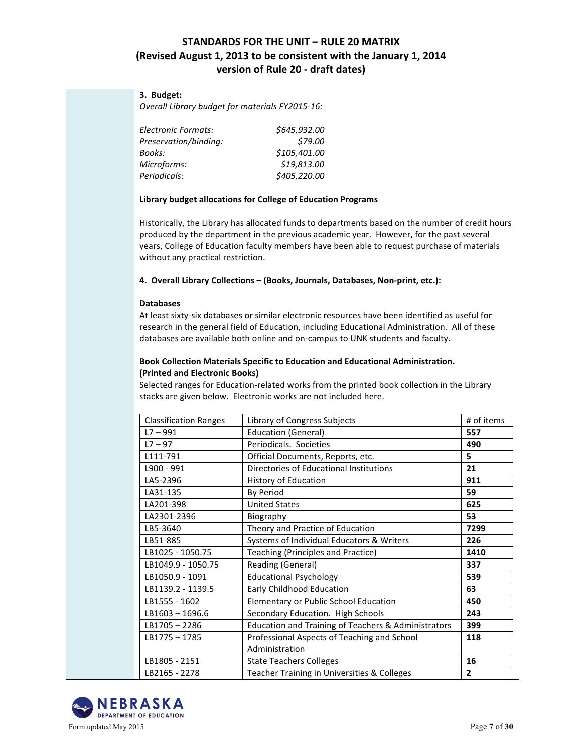#### **3. Budget:**

**Overall Library budget for materials FY2015-16:** 

| Electronic Formats:   | \$645,932.00 |
|-----------------------|--------------|
| Preservation/binding: | \$79.00      |
| Books:                | \$105,401.00 |
| Microforms:           | \$19,813.00  |
| Periodicals:          | \$405,220.00 |

#### Library budget allocations for College of Education Programs

Historically, the Library has allocated funds to departments based on the number of credit hours produced by the department in the previous academic year. However, for the past several years, College of Education faculty members have been able to request purchase of materials without any practical restriction.

**4. Overall Library Collections – (Books, Journals, Databases, Non-print, etc.):**

#### **Databases**

At least sixty-six databases or similar electronic resources have been identified as useful for research in the general field of Education, including Educational Administration. All of these databases are available both online and on-campus to UNK students and faculty.

#### **Book Collection Materials Specific to Education and Educational Administration. (Printed and Electronic Books)**

Selected ranges for Education-related works from the printed book collection in the Library stacks are given below. Electronic works are not included here.

| <b>Classification Ranges</b> | Library of Congress Subjects                        | # of items     |
|------------------------------|-----------------------------------------------------|----------------|
| $L7 - 991$                   | <b>Education (General)</b>                          | 557            |
| $L7 - 97$                    | Periodicals. Societies                              | 490            |
| L111-791                     | Official Documents, Reports, etc.                   | 5              |
| L900 - 991                   | Directories of Educational Institutions             | 21             |
| LA5-2396                     | History of Education                                | 911            |
| LA31-135                     | <b>By Period</b>                                    | 59             |
| LA201-398                    | <b>United States</b>                                | 625            |
| LA2301-2396                  | Biography                                           | 53             |
| LB5-3640                     | Theory and Practice of Education                    | 7299           |
| LB51-885                     | Systems of Individual Educators & Writers           | 226            |
| LB1025 - 1050.75             | Teaching (Principles and Practice)                  | 1410           |
| LB1049.9 - 1050.75           | Reading (General)                                   | 337            |
| LB1050.9 - 1091              | <b>Educational Psychology</b>                       | 539            |
| LB1139.2 - 1139.5            | Early Childhood Education                           | 63             |
| LB1555 - 1602                | Elementary or Public School Education               | 450            |
| $LB1603 - 1696.6$            | Secondary Education. High Schools                   | 243            |
| LB1705-2286                  | Education and Training of Teachers & Administrators | 399            |
| LB1775-1785                  | Professional Aspects of Teaching and School         | 118            |
|                              | Administration                                      |                |
| LB1805 - 2151                | <b>State Teachers Colleges</b>                      | 16             |
| LB2165 - 2278                | Teacher Training in Universities & Colleges         | $\overline{2}$ |

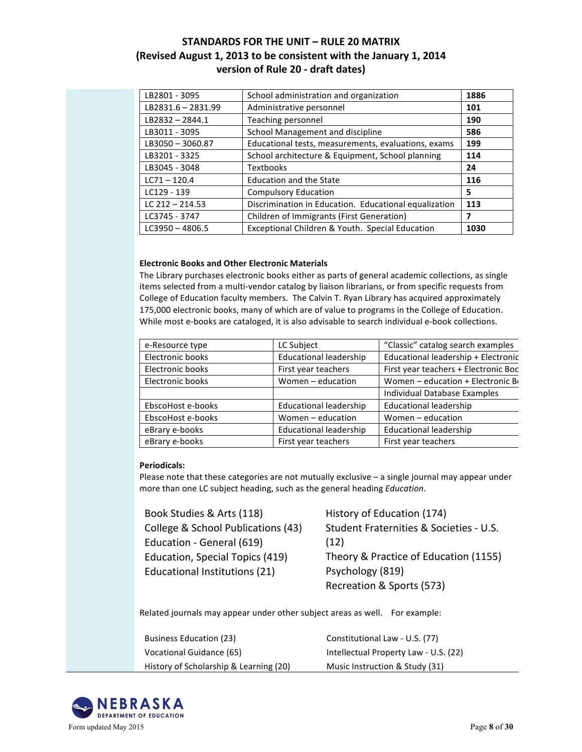| LB2801 - 3095      | School administration and organization                | 1886 |
|--------------------|-------------------------------------------------------|------|
| LB2831.6 - 2831.99 | Administrative personnel                              | 101  |
| $LB2832 - 2844.1$  | Teaching personnel                                    | 190  |
| LB3011 - 3095      | School Management and discipline                      | 586  |
| LB3050-3060.87     | Educational tests, measurements, evaluations, exams   | 199  |
| LB3201 - 3325      | School architecture & Equipment, School planning      | 114  |
| LB3045 - 3048      | <b>Textbooks</b>                                      | 24   |
| $LC71 - 120.4$     | Education and the State                               | 116  |
| LC129 - 139        | <b>Compulsory Education</b>                           | 5    |
| LC $212 - 214.53$  | Discrimination in Education. Educational equalization | 113  |
| LC3745 - 3747      | Children of Immigrants (First Generation)             |      |
|                    |                                                       |      |

#### **Electronic Books and Other Electronic Materials**

The Library purchases electronic books either as parts of general academic collections, as single items selected from a multi-vendor catalog by liaison librarians, or from specific requests from College of Education faculty members. The Calvin T. Ryan Library has acquired approximately 175,000 electronic books, many of which are of value to programs in the College of Education. While most e-books are cataloged, it is also advisable to search individual e-book collections.

| e-Resource type   | LC Subject                    | "Classic" catalog search examples    |
|-------------------|-------------------------------|--------------------------------------|
| Electronic books  | <b>Educational leadership</b> | Educational leadership + Electronic  |
| Electronic books  | First year teachers           | First year teachers + Electronic Boc |
| Electronic books  | Women - education             | Women - education + Electronic B     |
|                   |                               | Individual Database Examples         |
| EbscoHost e-books | <b>Educational leadership</b> | <b>Educational leadership</b>        |
| EbscoHost e-books | Women - education             | Women - education                    |
| eBrary e-books    | <b>Educational leadership</b> | <b>Educational leadership</b>        |
| eBrary e-books    | First year teachers           | First year teachers                  |

#### **Periodicals:**

Please note that these categories are not mutually exclusive  $-$  a single journal may appear under more than one LC subject heading, such as the general heading *Education*.

Book Studies & Arts (118) College & School Publications (43) Education - General (619) Education, Special Topics (419) Educational Institutions (21)

History of Education (174) Student Fraternities & Societies - U.S. (12) Theory & Practice of Education (1155) Psychology (819) Recreation & Sports (573)

Related journals may appear under other subject areas as well. For example:

Business Education (23) Vocational Guidance (65) History of Scholarship & Learning (20) Constitutional Law - U.S. (77) Intellectual Property Law - U.S. (22) Music Instruction & Study (31)

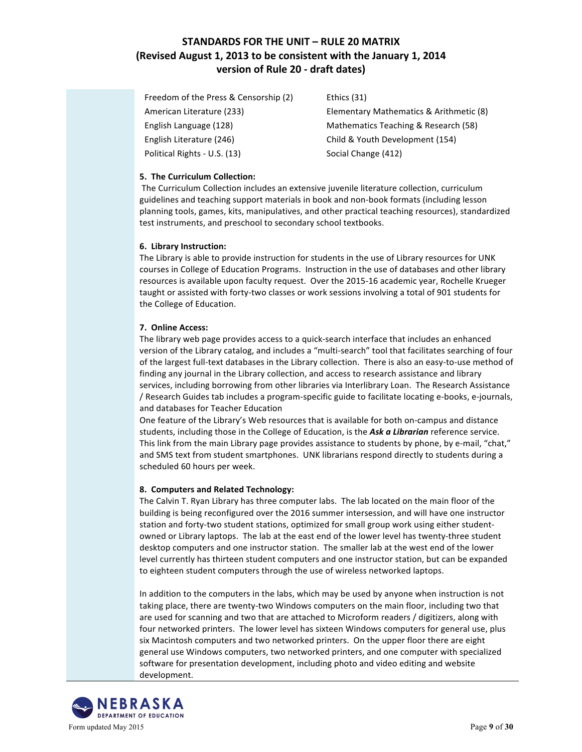Freedom of the Press & Censorship (2) American Literature (233) • English Language (128) English Literature (246) Political Rights - U.S. (13)

Ethics (31)

Elementary Mathematics & Arithmetic (8) Mathematics Teaching & Research (58) Child & Youth Development (154) Social Change (412)

#### **5. The Curriculum Collection:**

The Curriculum Collection includes an extensive juvenile literature collection, curriculum guidelines and teaching support materials in book and non-book formats (including lesson planning tools, games, kits, manipulatives, and other practical teaching resources), standardized test instruments, and preschool to secondary school textbooks.

#### **6. Library Instruction:**

The Library is able to provide instruction for students in the use of Library resources for UNK courses in College of Education Programs. Instruction in the use of databases and other library resources is available upon faculty request. Over the 2015-16 academic year, Rochelle Krueger taught or assisted with forty-two classes or work sessions involving a total of 901 students for the College of Education.

#### **7. Online Access:**

The library web page provides access to a quick-search interface that includes an enhanced version of the Library catalog, and includes a "multi-search" tool that facilitates searching of four of the largest full-text databases in the Library collection. There is also an easy-to-use method of finding any journal in the Library collection, and access to research assistance and library services, including borrowing from other libraries via Interlibrary Loan. The Research Assistance / Research Guides tab includes a program-specific guide to facilitate locating e-books, e-journals, and databases for Teacher Education

One feature of the Library's Web resources that is available for both on-campus and distance students, including those in the College of Education, is the Ask a Librarian reference service. This link from the main Library page provides assistance to students by phone, by e-mail, "chat," and SMS text from student smartphones. UNK librarians respond directly to students during a scheduled 60 hours per week.

#### **8. Computers and Related Technology:**

The Calvin T. Ryan Library has three computer labs. The lab located on the main floor of the building is being reconfigured over the 2016 summer intersession, and will have one instructor station and forty-two student stations, optimized for small group work using either studentowned or Library laptops. The lab at the east end of the lower level has twenty-three student desktop computers and one instructor station. The smaller lab at the west end of the lower level currently has thirteen student computers and one instructor station, but can be expanded to eighteen student computers through the use of wireless networked laptops.

In addition to the computers in the labs, which may be used by anyone when instruction is not taking place, there are twenty-two Windows computers on the main floor, including two that are used for scanning and two that are attached to Microform readers / digitizers, along with four networked printers. The lower level has sixteen Windows computers for general use, plus six Macintosh computers and two networked printers. On the upper floor there are eight general use Windows computers, two networked printers, and one computer with specialized software for presentation development, including photo and video editing and website development. 

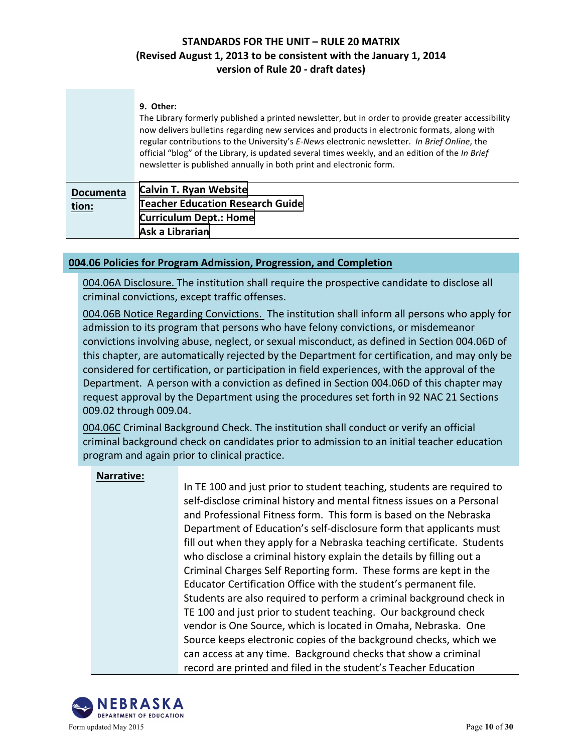|                           | 9. Other:<br>The Library formerly published a printed newsletter, but in order to provide greater accessibility<br>now delivers bulletins regarding new services and products in electronic formats, along with<br>regular contributions to the University's E-News electronic newsletter. In Brief Online, the<br>official "blog" of the Library, is updated several times weekly, and an edition of the In Brief<br>newsletter is published annually in both print and electronic form. |
|---------------------------|-------------------------------------------------------------------------------------------------------------------------------------------------------------------------------------------------------------------------------------------------------------------------------------------------------------------------------------------------------------------------------------------------------------------------------------------------------------------------------------------|
| <b>Documenta</b><br>tion: | <b>Calvin T. Ryan Website</b><br><b>Teacher Education Research Guide</b><br><b>Curriculum Dept.: Home</b><br>Ask a Librarian                                                                                                                                                                                                                                                                                                                                                              |

#### **004.06 Policies for Program Admission, Progression, and Completion**

004.06A Disclosure. The institution shall require the prospective candidate to disclose all criminal convictions, except traffic offenses.

004.06B Notice Regarding Convictions. The institution shall inform all persons who apply for admission to its program that persons who have felony convictions, or misdemeanor convictions involving abuse, neglect, or sexual misconduct, as defined in Section 004.06D of this chapter, are automatically rejected by the Department for certification, and may only be considered for certification, or participation in field experiences, with the approval of the Department. A person with a conviction as defined in Section 004.06D of this chapter may request approval by the Department using the procedures set forth in 92 NAC 21 Sections 009.02 through 009.04.

004.06C Criminal Background Check. The institution shall conduct or verify an official criminal background check on candidates prior to admission to an initial teacher education program and again prior to clinical practice.

#### **Narrative:**

In TE 100 and just prior to student teaching, students are required to self-disclose criminal history and mental fitness issues on a Personal and Professional Fitness form. This form is based on the Nebraska Department of Education's self-disclosure form that applicants must fill out when they apply for a Nebraska teaching certificate. Students who disclose a criminal history explain the details by filling out a Criminal Charges Self Reporting form. These forms are kept in the Educator Certification Office with the student's permanent file. Students are also required to perform a criminal background check in TE 100 and just prior to student teaching. Our background check vendor is One Source, which is located in Omaha, Nebraska. One Source keeps electronic copies of the background checks, which we can access at any time. Background checks that show a criminal record are printed and filed in the student's Teacher Education

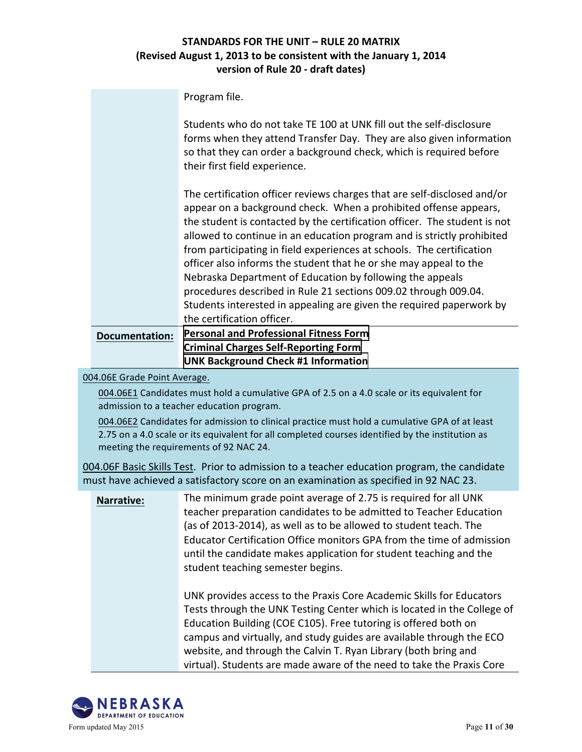Program file.

|                       | Students who do not take TE 100 at UNK fill out the self-disclosure<br>forms when they attend Transfer Day. They are also given information<br>so that they can order a background check, which is required before<br>their first field experience.                                                                                                                                                                                                                                                                                                                                                                                                                                     |
|-----------------------|-----------------------------------------------------------------------------------------------------------------------------------------------------------------------------------------------------------------------------------------------------------------------------------------------------------------------------------------------------------------------------------------------------------------------------------------------------------------------------------------------------------------------------------------------------------------------------------------------------------------------------------------------------------------------------------------|
|                       | The certification officer reviews charges that are self-disclosed and/or<br>appear on a background check. When a prohibited offense appears,<br>the student is contacted by the certification officer. The student is not<br>allowed to continue in an education program and is strictly prohibited<br>from participating in field experiences at schools. The certification<br>officer also informs the student that he or she may appeal to the<br>Nebraska Department of Education by following the appeals<br>procedures described in Rule 21 sections 009.02 through 009.04.<br>Students interested in appealing are given the required paperwork by<br>the certification officer. |
| <b>Documentation:</b> | <b>Personal and Professional Fitness Form</b>                                                                                                                                                                                                                                                                                                                                                                                                                                                                                                                                                                                                                                           |
|                       | <b>Criminal Charges Self-Reporting Form</b>                                                                                                                                                                                                                                                                                                                                                                                                                                                                                                                                                                                                                                             |

004.06E Grade Point Average.

004.06E1 Candidates must hold a cumulative GPA of 2.5 on a 4.0 scale or its equivalent for admission to a teacher education program.

**[UNK Background Check #1 Information](http://unk.edu/academics/coe/_files/nde2/UNK Background Check information.pdf)**

004.06E2 Candidates for admission to clinical practice must hold a cumulative GPA of at least 2.75 on a 4.0 scale or its equivalent for all completed courses identified by the institution as meeting the requirements of 92 NAC 24.

004.06F Basic Skills Test. Prior to admission to a teacher education program, the candidate must have achieved a satisfactory score on an examination as specified in 92 NAC 23.

| <b>Narrative:</b> | The minimum grade point average of 2.75 is required for all UNK<br>teacher preparation candidates to be admitted to Teacher Education<br>(as of 2013-2014), as well as to be allowed to student teach. The<br>Educator Certification Office monitors GPA from the time of admission<br>until the candidate makes application for student teaching and the<br>student teaching semester begins.                                         |
|-------------------|----------------------------------------------------------------------------------------------------------------------------------------------------------------------------------------------------------------------------------------------------------------------------------------------------------------------------------------------------------------------------------------------------------------------------------------|
|                   | UNK provides access to the Praxis Core Academic Skills for Educators<br>Tests through the UNK Testing Center which is located in the College of<br>Education Building (COE C105). Free tutoring is offered both on<br>campus and virtually, and study guides are available through the ECO<br>website, and through the Calvin T. Ryan Library (both bring and<br>virtual). Students are made aware of the need to take the Praxis Core |

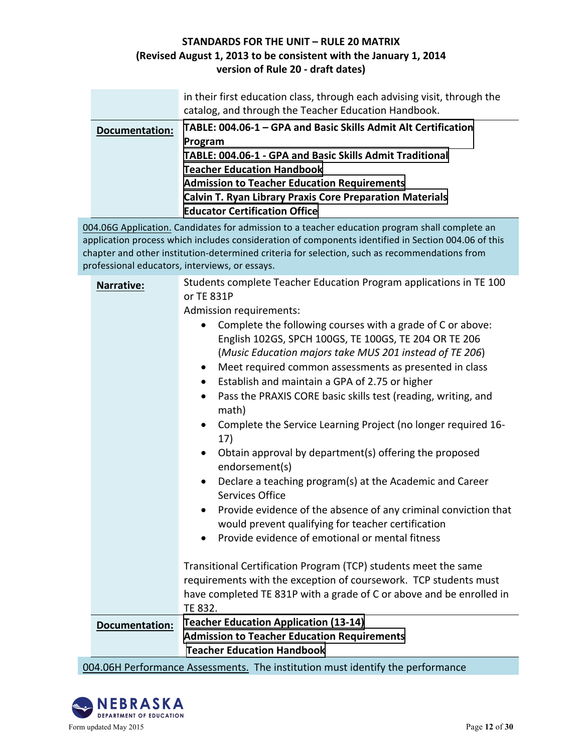|                       | in their first education class, through each advising visit, through the<br>catalog, and through the Teacher Education Handbook. |
|-----------------------|----------------------------------------------------------------------------------------------------------------------------------|
| <b>Documentation:</b> | TABLE: 004.06-1 - GPA and Basic Skills Admit Alt Certification                                                                   |
|                       | Program                                                                                                                          |
|                       | TABLE: 004.06-1 - GPA and Basic Skills Admit Traditional                                                                         |
|                       | <b>Teacher Education Handbook</b>                                                                                                |
|                       | <b>Admission to Teacher Education Requirements</b>                                                                               |
|                       | <b>Calvin T. Ryan Library Praxis Core Preparation Materials</b>                                                                  |
|                       | <b>Educator Certification Office</b>                                                                                             |

004.06G Application. Candidates for admission to a teacher education program shall complete an application process which includes consideration of components identified in Section 004.06 of this chapter and other institution-determined criteria for selection, such as recommendations from professional educators, interviews, or essays.

| <b>Narrative:</b>     | Students complete Teacher Education Program applications in TE 100                                                                 |
|-----------------------|------------------------------------------------------------------------------------------------------------------------------------|
|                       | or TE 831P                                                                                                                         |
|                       | <b>Admission requirements:</b>                                                                                                     |
|                       | Complete the following courses with a grade of C or above:                                                                         |
|                       | English 102GS, SPCH 100GS, TE 100GS, TE 204 OR TE 206                                                                              |
|                       | (Music Education majors take MUS 201 instead of TE 206)                                                                            |
|                       | Meet required common assessments as presented in class<br>$\bullet$                                                                |
|                       | Establish and maintain a GPA of 2.75 or higher<br>$\bullet$                                                                        |
|                       | Pass the PRAXIS CORE basic skills test (reading, writing, and<br>$\bullet$<br>math)                                                |
|                       | Complete the Service Learning Project (no longer required 16-<br>$\bullet$<br>17)                                                  |
|                       | Obtain approval by department(s) offering the proposed<br>$\bullet$<br>endorsement(s)                                              |
|                       | Declare a teaching program(s) at the Academic and Career<br>$\bullet$<br><b>Services Office</b>                                    |
|                       | Provide evidence of the absence of any criminal conviction that<br>$\bullet$<br>would prevent qualifying for teacher certification |
|                       | Provide evidence of emotional or mental fitness                                                                                    |
|                       |                                                                                                                                    |
|                       | Transitional Certification Program (TCP) students meet the same                                                                    |
|                       | requirements with the exception of coursework. TCP students must                                                                   |
|                       | have completed TE 831P with a grade of C or above and be enrolled in                                                               |
|                       | TE 832.                                                                                                                            |
| <b>Documentation:</b> | <b>Teacher Education Application (13-14)</b>                                                                                       |
|                       | <b>Admission to Teacher Education Requirements</b>                                                                                 |
|                       | <b>Teacher Education Handbook</b>                                                                                                  |

004.06H Performance Assessments. The institution must identify the performance

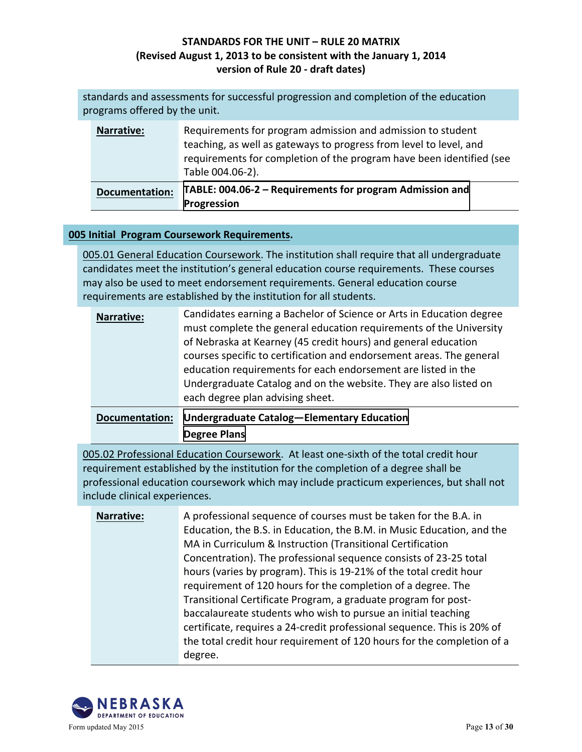| standards and assessments for successful progression and completion of the education<br>programs offered by the unit. |                       |                                                                                                                                                                                                                               |
|-----------------------------------------------------------------------------------------------------------------------|-----------------------|-------------------------------------------------------------------------------------------------------------------------------------------------------------------------------------------------------------------------------|
|                                                                                                                       | <b>Narrative:</b>     | Requirements for program admission and admission to student<br>teaching, as well as gateways to progress from level to level, and<br>requirements for completion of the program have been identified (see<br>Table 004.06-2). |
|                                                                                                                       | <b>Documentation:</b> | TABLE: 004.06-2 - Requirements for program Admission and<br>Progression                                                                                                                                                       |

#### **005 Initial Program Coursework Requirements.**

005.01 General Education Coursework. The institution shall require that all undergraduate candidates meet the institution's general education course requirements. These courses may also be used to meet endorsement requirements. General education course requirements are established by the institution for all students.

|  | <b>Narrative:</b> | Candidates earning a Bachelor of Science or Arts in Education degree<br>must complete the general education requirements of the University<br>of Nebraska at Kearney (45 credit hours) and general education<br>courses specific to certification and endorsement areas. The general<br>education requirements for each endorsement are listed in the<br>Undergraduate Catalog and on the website. They are also listed on<br>each degree plan advising sheet. |
|--|-------------------|----------------------------------------------------------------------------------------------------------------------------------------------------------------------------------------------------------------------------------------------------------------------------------------------------------------------------------------------------------------------------------------------------------------------------------------------------------------|
|--|-------------------|----------------------------------------------------------------------------------------------------------------------------------------------------------------------------------------------------------------------------------------------------------------------------------------------------------------------------------------------------------------------------------------------------------------------------------------------------------------|

| Documentation: Undergraduate Catalog-Elementary Education |
|-----------------------------------------------------------|
| <b>Degree Plans</b>                                       |

005.02 Professional Education Coursework. At least one-sixth of the total credit hour requirement established by the institution for the completion of a degree shall be professional education coursework which may include practicum experiences, but shall not include clinical experiences.

**Narrative:** A professional sequence of courses must be taken for the B.A. in Education, the B.S. in Education, the B.M. in Music Education, and the MA in Curriculum & Instruction (Transitional Certification Concentration). The professional sequence consists of 23-25 total hours (varies by program). This is 19-21% of the total credit hour requirement of 120 hours for the completion of a degree. The Transitional Certificate Program, a graduate program for postbaccalaureate students who wish to pursue an initial teaching certificate, requires a 24-credit professional sequence. This is 20% of the total credit hour requirement of 120 hours for the completion of a degree.

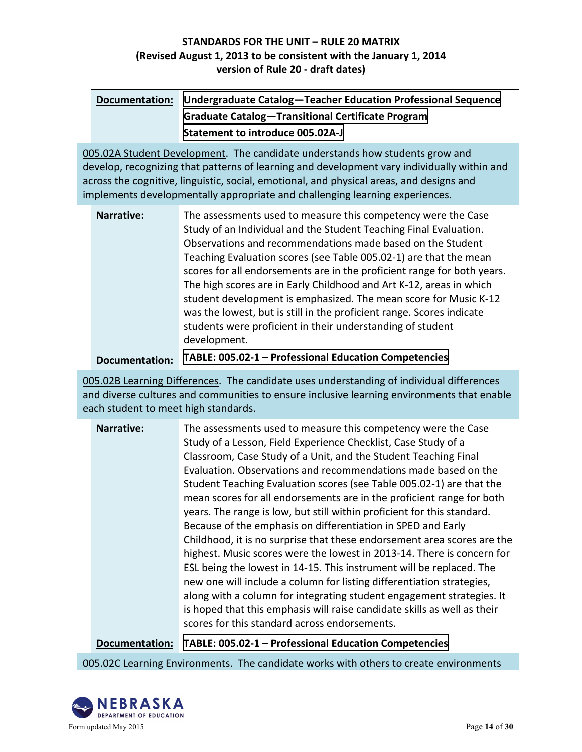| Documentation: Undergraduate Catalog-Teacher Education Professional Sequence |
|------------------------------------------------------------------------------|
| <b>Graduate Catalog-Transitional Certificate Program</b>                     |
| <b>Statement to introduce 005.02A-J</b>                                      |

005.02A Student Development. The candidate understands how students grow and develop, recognizing that patterns of learning and development vary individually within and across the cognitive, linguistic, social, emotional, and physical areas, and designs and implements developmentally appropriate and challenging learning experiences.

| <b>Narrative:</b> | The assessments used to measure this competency were the Case<br>Study of an Individual and the Student Teaching Final Evaluation.<br>Observations and recommendations made based on the Student<br>Teaching Evaluation scores (see Table 005.02-1) are that the mean<br>scores for all endorsements are in the proficient range for both years.<br>The high scores are in Early Childhood and Art K-12, areas in which<br>student development is emphasized. The mean score for Music K-12<br>was the lowest, but is still in the proficient range. Scores indicate<br>students were proficient in their understanding of student |
|-------------------|------------------------------------------------------------------------------------------------------------------------------------------------------------------------------------------------------------------------------------------------------------------------------------------------------------------------------------------------------------------------------------------------------------------------------------------------------------------------------------------------------------------------------------------------------------------------------------------------------------------------------------|
|                   | development.                                                                                                                                                                                                                                                                                                                                                                                                                                                                                                                                                                                                                       |

**Documentation: TABLE: 005.02-1 - Professional Education Competencies** 

005.02B Learning Differences. The candidate uses understanding of individual differences and diverse cultures and communities to ensure inclusive learning environments that enable each student to meet high standards.

| <b>Narrative:</b> | The assessments used to measure this competency were the Case<br>Study of a Lesson, Field Experience Checklist, Case Study of a<br>Classroom, Case Study of a Unit, and the Student Teaching Final<br>Evaluation. Observations and recommendations made based on the<br>Student Teaching Evaluation scores (see Table 005.02-1) are that the<br>mean scores for all endorsements are in the proficient range for both<br>years. The range is low, but still within proficient for this standard.<br>Because of the emphasis on differentiation in SPED and Early<br>Childhood, it is no surprise that these endorsement area scores are the<br>highest. Music scores were the lowest in 2013-14. There is concern for |
|-------------------|-----------------------------------------------------------------------------------------------------------------------------------------------------------------------------------------------------------------------------------------------------------------------------------------------------------------------------------------------------------------------------------------------------------------------------------------------------------------------------------------------------------------------------------------------------------------------------------------------------------------------------------------------------------------------------------------------------------------------|
|                   | ESL being the lowest in 14-15. This instrument will be replaced. The<br>new one will include a column for listing differentiation strategies,<br>along with a column for integrating student engagement strategies. It<br>is hoped that this emphasis will raise candidate skills as well as their<br>scores for this standard across endorsements.                                                                                                                                                                                                                                                                                                                                                                   |

**Documentation: TABLE: 005.02-1 - Professional Education Competencies** 

005.02C Learning Environments. The candidate works with others to create environments

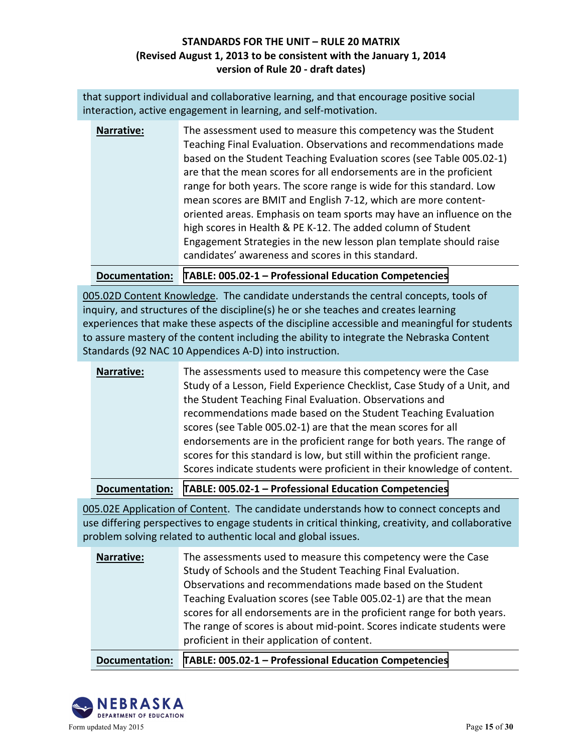that support individual and collaborative learning, and that encourage positive social interaction, active engagement in learning, and self-motivation.

| <b>Narrative:</b> | The assessment used to measure this competency was the Student       |
|-------------------|----------------------------------------------------------------------|
|                   | Teaching Final Evaluation. Observations and recommendations made     |
|                   | based on the Student Teaching Evaluation scores (see Table 005.02-1) |
|                   | are that the mean scores for all endorsements are in the proficient  |
|                   | range for both years. The score range is wide for this standard. Low |
|                   | mean scores are BMIT and English 7-12, which are more content-       |
|                   | oriented areas. Emphasis on team sports may have an influence on the |
|                   | high scores in Health & PE K-12. The added column of Student         |
|                   | Engagement Strategies in the new lesson plan template should raise   |
|                   | candidates' awareness and scores in this standard.                   |

**Documentation: TABLE: 005.02-1 - Professional Education Competencies** 

005.02D Content Knowledge. The candidate understands the central concepts, tools of inquiry, and structures of the discipline(s) he or she teaches and creates learning experiences that make these aspects of the discipline accessible and meaningful for students to assure mastery of the content including the ability to integrate the Nebraska Content Standards (92 NAC 10 Appendices A-D) into instruction.

| <b>Narrative:</b> | The assessments used to measure this competency were the Case<br>Study of a Lesson, Field Experience Checklist, Case Study of a Unit, and<br>the Student Teaching Final Evaluation. Observations and<br>recommendations made based on the Student Teaching Evaluation<br>scores (see Table 005.02-1) are that the mean scores for all<br>endorsements are in the proficient range for both years. The range of<br>scores for this standard is low, but still within the proficient range. |
|-------------------|-------------------------------------------------------------------------------------------------------------------------------------------------------------------------------------------------------------------------------------------------------------------------------------------------------------------------------------------------------------------------------------------------------------------------------------------------------------------------------------------|
|                   | Scores indicate students were proficient in their knowledge of content.                                                                                                                                                                                                                                                                                                                                                                                                                   |
|                   |                                                                                                                                                                                                                                                                                                                                                                                                                                                                                           |

**Documentation: TABLE: 005.02-1 - Professional Education Competencies** 

005.02E Application of Content. The candidate understands how to connect concepts and use differing perspectives to engage students in critical thinking, creativity, and collaborative problem solving related to authentic local and global issues.

| <b>Narrative:</b> | The assessments used to measure this competency were the Case<br>Study of Schools and the Student Teaching Final Evaluation.<br>Observations and recommendations made based on the Student<br>Teaching Evaluation scores (see Table 005.02-1) are that the mean<br>scores for all endorsements are in the proficient range for both years.<br>The range of scores is about mid-point. Scores indicate students were<br>proficient in their application of content. |
|-------------------|--------------------------------------------------------------------------------------------------------------------------------------------------------------------------------------------------------------------------------------------------------------------------------------------------------------------------------------------------------------------------------------------------------------------------------------------------------------------|
|-------------------|--------------------------------------------------------------------------------------------------------------------------------------------------------------------------------------------------------------------------------------------------------------------------------------------------------------------------------------------------------------------------------------------------------------------------------------------------------------------|

**Documentation: TABLE: 005.02-1 - Professional Education Competencies** 

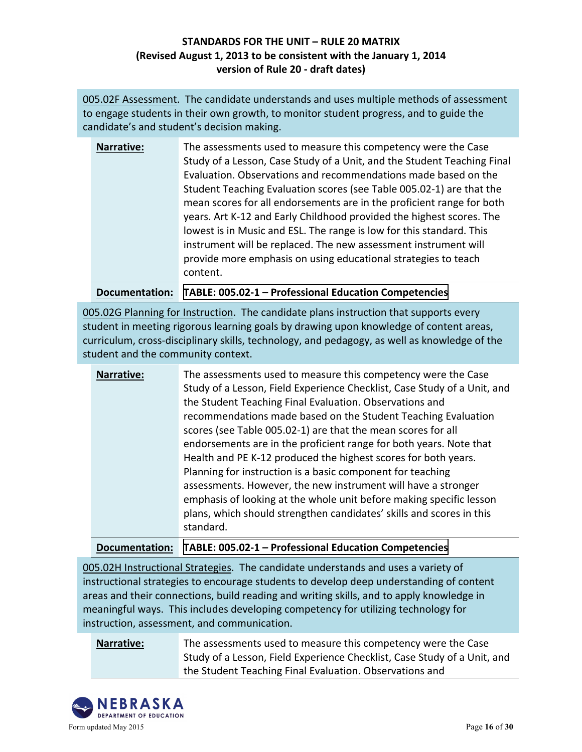005.02F Assessment. The candidate understands and uses multiple methods of assessment to engage students in their own growth, to monitor student progress, and to guide the candidate's and student's decision making.

| Narrative: | The assessments used to measure this competency were the Case           |
|------------|-------------------------------------------------------------------------|
|            | Study of a Lesson, Case Study of a Unit, and the Student Teaching Final |
|            | Evaluation. Observations and recommendations made based on the          |
|            | Student Teaching Evaluation scores (see Table 005.02-1) are that the    |
|            | mean scores for all endorsements are in the proficient range for both   |
|            | years. Art K-12 and Early Childhood provided the highest scores. The    |
|            | lowest is in Music and ESL. The range is low for this standard. This    |
|            | instrument will be replaced. The new assessment instrument will         |
|            | provide more emphasis on using educational strategies to teach          |
|            | content.                                                                |
|            |                                                                         |

**Documentation: TABLE: 005.02-1 - Professional Education Competencies** 

005.02G Planning for Instruction. The candidate plans instruction that supports every student in meeting rigorous learning goals by drawing upon knowledge of content areas, curriculum, cross-disciplinary skills, technology, and pedagogy, as well as knowledge of the student and the community context.

| Narrative: | The assessments used to measure this competency were the Case<br>Study of a Lesson, Field Experience Checklist, Case Study of a Unit, and<br>the Student Teaching Final Evaluation. Observations and<br>recommendations made based on the Student Teaching Evaluation<br>scores (see Table 005.02-1) are that the mean scores for all<br>endorsements are in the proficient range for both years. Note that<br>Health and PE K-12 produced the highest scores for both years.<br>Planning for instruction is a basic component for teaching<br>assessments. However, the new instrument will have a stronger<br>emphasis of looking at the whole unit before making specific lesson<br>plans, which should strengthen candidates' skills and scores in this<br>standard. |
|------------|--------------------------------------------------------------------------------------------------------------------------------------------------------------------------------------------------------------------------------------------------------------------------------------------------------------------------------------------------------------------------------------------------------------------------------------------------------------------------------------------------------------------------------------------------------------------------------------------------------------------------------------------------------------------------------------------------------------------------------------------------------------------------|
|------------|--------------------------------------------------------------------------------------------------------------------------------------------------------------------------------------------------------------------------------------------------------------------------------------------------------------------------------------------------------------------------------------------------------------------------------------------------------------------------------------------------------------------------------------------------------------------------------------------------------------------------------------------------------------------------------------------------------------------------------------------------------------------------|

**Documentation: TABLE: 005.02-1 – [Professional Education](http://unk.edu/academics/coe/_files/nde/00502-1Table-ProfEdCompetencies.pdf) Competencies**

005.02H Instructional Strategies. The candidate understands and uses a variety of instructional strategies to encourage students to develop deep understanding of content areas and their connections, build reading and writing skills, and to apply knowledge in meaningful ways. This includes developing competency for utilizing technology for instruction, assessment, and communication.

**Narrative:** The assessments used to measure this competency were the Case Study of a Lesson, Field Experience Checklist, Case Study of a Unit, and the Student Teaching Final Evaluation. Observations and

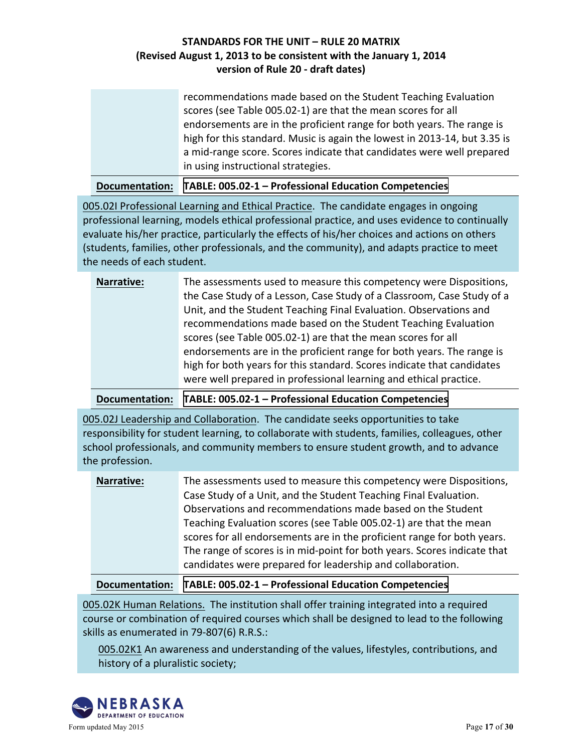recommendations made based on the Student Teaching Evaluation scores (see Table 005.02-1) are that the mean scores for all endorsements are in the proficient range for both years. The range is high for this standard. Music is again the lowest in 2013-14, but 3.35 is a mid-range score. Scores indicate that candidates were well prepared in using instructional strategies.

**Documentation: TABLE: 005.02-1 - Professional Education Competencies** 

005.02I Professional Learning and Ethical Practice. The candidate engages in ongoing professional learning, models ethical professional practice, and uses evidence to continually evaluate his/her practice, particularly the effects of his/her choices and actions on others (students, families, other professionals, and the community), and adapts practice to meet the needs of each student.

| <b>Narrative:</b> | The assessments used to measure this competency were Dispositions,     |
|-------------------|------------------------------------------------------------------------|
|                   | the Case Study of a Lesson, Case Study of a Classroom, Case Study of a |
|                   | Unit, and the Student Teaching Final Evaluation. Observations and      |
|                   | recommendations made based on the Student Teaching Evaluation          |
|                   | scores (see Table 005.02-1) are that the mean scores for all           |
|                   | endorsements are in the proficient range for both years. The range is  |
|                   | high for both years for this standard. Scores indicate that candidates |
|                   | were well prepared in professional learning and ethical practice.      |

**Documentation: TABLE: 005.02-1 – Professional Education Competencies** 

005.02J Leadership and Collaboration. The candidate seeks opportunities to take responsibility for student learning, to collaborate with students, families, colleagues, other school professionals, and community members to ensure student growth, and to advance the profession.

| <b>Narrative:</b> | The assessments used to measure this competency were Dispositions,       |
|-------------------|--------------------------------------------------------------------------|
|                   | Case Study of a Unit, and the Student Teaching Final Evaluation.         |
|                   | Observations and recommendations made based on the Student               |
|                   | Teaching Evaluation scores (see Table 005.02-1) are that the mean        |
|                   | scores for all endorsements are in the proficient range for both years.  |
|                   | The range of scores is in mid-point for both years. Scores indicate that |
|                   | candidates were prepared for leadership and collaboration.               |

#### **Documentation: TABLE: 005.02-1 - Professional Education Competencies**

005.02K Human Relations. The institution shall offer training integrated into a required course or combination of required courses which shall be designed to lead to the following skills as enumerated in  $79-807(6)$  R.R.S.:

005.02K1 An awareness and understanding of the values, lifestyles, contributions, and history of a pluralistic society;

![](_page_16_Picture_11.jpeg)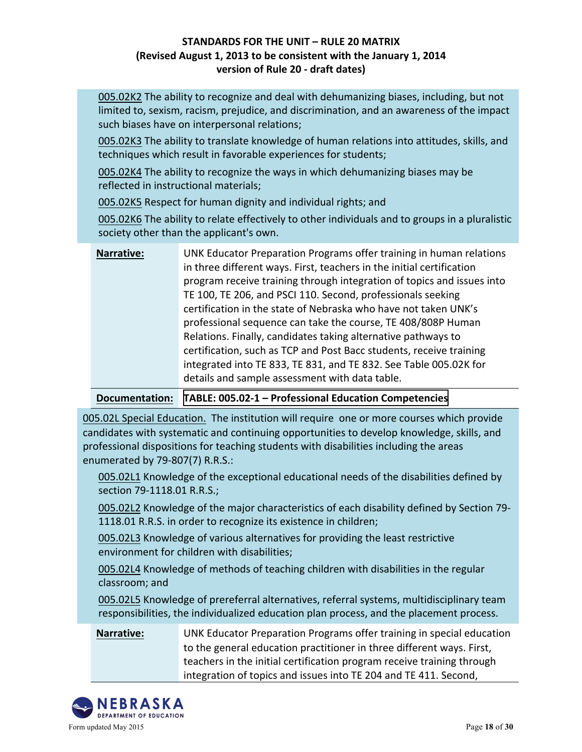005.02K2 The ability to recognize and deal with dehumanizing biases, including, but not limited to, sexism, racism, prejudice, and discrimination, and an awareness of the impact such biases have on interpersonal relations;

005.02K3 The ability to translate knowledge of human relations into attitudes, skills, and techniques which result in favorable experiences for students;

005.02K4 The ability to recognize the ways in which dehumanizing biases may be reflected in instructional materials;

005.02K5 Respect for human dignity and individual rights; and

005.02K6 The ability to relate effectively to other individuals and to groups in a pluralistic society other than the applicant's own.

| <b>Narrative:</b> | UNK Educator Preparation Programs offer training in human relations    |
|-------------------|------------------------------------------------------------------------|
|                   | in three different ways. First, teachers in the initial certification  |
|                   | program receive training through integration of topics and issues into |
|                   | TE 100, TE 206, and PSCI 110. Second, professionals seeking            |
|                   | certification in the state of Nebraska who have not taken UNK's        |
|                   | professional sequence can take the course, TE 408/808P Human           |
|                   | Relations. Finally, candidates taking alternative pathways to          |
|                   | certification, such as TCP and Post Bacc students, receive training    |
|                   | integrated into TE 833, TE 831, and TE 832. See Table 005.02K for      |
|                   | details and sample assessment with data table.                         |

#### **Documentation: TABLE: 005.02-1 - Professional Education Competencies**

005.02L Special Education. The institution will require one or more courses which provide candidates with systematic and continuing opportunities to develop knowledge, skills, and professional dispositions for teaching students with disabilities including the areas enumerated by  $79-807(7)$  R.R.S.:

005.02L1 Knowledge of the exceptional educational needs of the disabilities defined by section 79-1118.01 R.R.S.;

005.02L2 Knowledge of the major characteristics of each disability defined by Section 79-1118.01 R.R.S. in order to recognize its existence in children;

005.02L3 Knowledge of various alternatives for providing the least restrictive environment for children with disabilities;

005.02L4 Knowledge of methods of teaching children with disabilities in the regular classroom; and

005.02L5 Knowledge of prereferral alternatives, referral systems, multidisciplinary team responsibilities, the individualized education plan process, and the placement process.

**Narrative:** UNK Educator Preparation Programs offer training in special education to the general education practitioner in three different ways. First, teachers in the initial certification program receive training through integration of topics and issues into TE 204 and TE 411. Second,

![](_page_17_Picture_15.jpeg)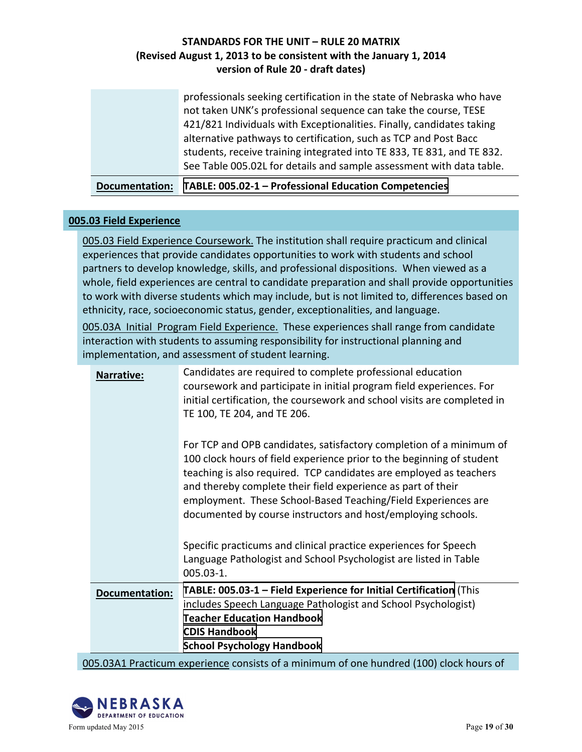professionals seeking certification in the state of Nebraska who have not taken UNK's professional sequence can take the course, TESE 421/821 Individuals with Exceptionalities. Finally, candidates taking alternative pathways to certification, such as TCP and Post Bacc students, receive training integrated into TE 833, TE 831, and TE 832. See Table 005.02L for details and sample assessment with data table.

**Documentation: TABLE: 005.02-1 - Professional Education Competencies** 

#### **005.03 Field Experience**

005.03 Field Experience Coursework. The institution shall require practicum and clinical experiences that provide candidates opportunities to work with students and school partners to develop knowledge, skills, and professional dispositions. When viewed as a whole, field experiences are central to candidate preparation and shall provide opportunities to work with diverse students which may include, but is not limited to, differences based on ethnicity, race, socioeconomic status, gender, exceptionalities, and language.

005.03A Initial Program Field Experience. These experiences shall range from candidate interaction with students to assuming responsibility for instructional planning and implementation, and assessment of student learning.

| <b>Narrative:</b>     | Candidates are required to complete professional education<br>coursework and participate in initial program field experiences. For<br>initial certification, the coursework and school visits are completed in<br>TE 100, TE 204, and TE 206.                                                                                                                                                                       |
|-----------------------|---------------------------------------------------------------------------------------------------------------------------------------------------------------------------------------------------------------------------------------------------------------------------------------------------------------------------------------------------------------------------------------------------------------------|
|                       | For TCP and OPB candidates, satisfactory completion of a minimum of<br>100 clock hours of field experience prior to the beginning of student<br>teaching is also required. TCP candidates are employed as teachers<br>and thereby complete their field experience as part of their<br>employment. These School-Based Teaching/Field Experiences are<br>documented by course instructors and host/employing schools. |
|                       | Specific practicums and clinical practice experiences for Speech<br>Language Pathologist and School Psychologist are listed in Table<br>$005.03 - 1.$                                                                                                                                                                                                                                                               |
| <b>Documentation:</b> | TABLE: 005.03-1 - Field Experience for Initial Certification (This<br>includes Speech Language Pathologist and School Psychologist)<br><b>Teacher Education Handbook</b><br><b>CDIS Handbook</b><br><b>School Psychology Handbook</b>                                                                                                                                                                               |

005.03A1 Practicum experience consists of a minimum of one hundred (100) clock hours of

![](_page_18_Picture_8.jpeg)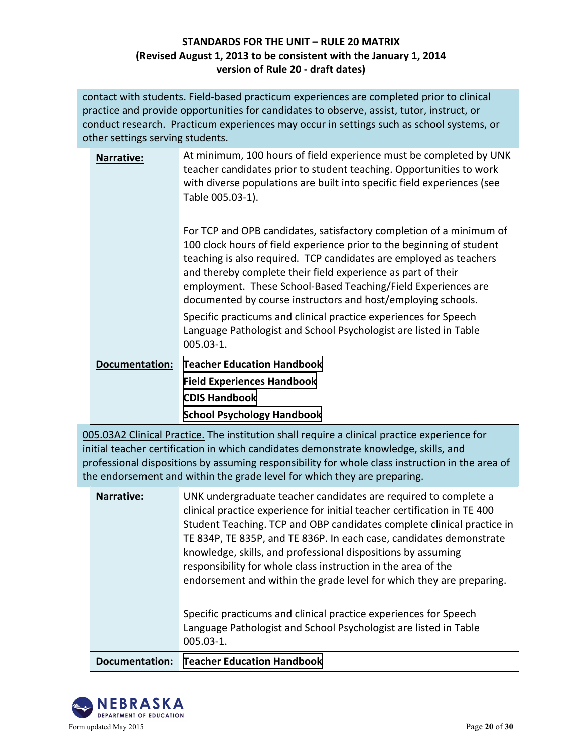contact with students. Field-based practicum experiences are completed prior to clinical practice and provide opportunities for candidates to observe, assist, tutor, instruct, or conduct research. Practicum experiences may occur in settings such as school systems, or other settings serving students.

| <b>Narrative:</b>     | At minimum, 100 hours of field experience must be completed by UNK<br>teacher candidates prior to student teaching. Opportunities to work<br>with diverse populations are built into specific field experiences (see<br>Table 005.03-1).                                                                                                                                                                            |
|-----------------------|---------------------------------------------------------------------------------------------------------------------------------------------------------------------------------------------------------------------------------------------------------------------------------------------------------------------------------------------------------------------------------------------------------------------|
|                       | For TCP and OPB candidates, satisfactory completion of a minimum of<br>100 clock hours of field experience prior to the beginning of student<br>teaching is also required. TCP candidates are employed as teachers<br>and thereby complete their field experience as part of their<br>employment. These School-Based Teaching/Field Experiences are<br>documented by course instructors and host/employing schools. |
|                       | Specific practicums and clinical practice experiences for Speech<br>Language Pathologist and School Psychologist are listed in Table<br>005.03-1.                                                                                                                                                                                                                                                                   |
| <b>Documentation:</b> | <b>Teacher Education Handbook</b>                                                                                                                                                                                                                                                                                                                                                                                   |
|                       | <b>Field Experiences Handbook</b>                                                                                                                                                                                                                                                                                                                                                                                   |
|                       | <b>CDIS Handbook</b>                                                                                                                                                                                                                                                                                                                                                                                                |

**[School Psychology Handbook](http://unk.edu/academics/coe/_files/nde2/School Psychology Handbook.pdf)**

005.03A2 Clinical Practice. The institution shall require a clinical practice experience for initial teacher certification in which candidates demonstrate knowledge, skills, and professional dispositions by assuming responsibility for whole class instruction in the area of the endorsement and within the grade level for which they are preparing.

| <b>Narrative:</b> | UNK undergraduate teacher candidates are required to complete a<br>clinical practice experience for initial teacher certification in TE 400<br>Student Teaching. TCP and OBP candidates complete clinical practice in<br>TE 834P, TE 835P, and TE 836P. In each case, candidates demonstrate<br>knowledge, skills, and professional dispositions by assuming<br>responsibility for whole class instruction in the area of the<br>endorsement and within the grade level for which they are preparing.<br>Specific practicums and clinical practice experiences for Speech<br>Language Pathologist and School Psychologist are listed in Table<br>$005.03 - 1.$ |
|-------------------|----------------------------------------------------------------------------------------------------------------------------------------------------------------------------------------------------------------------------------------------------------------------------------------------------------------------------------------------------------------------------------------------------------------------------------------------------------------------------------------------------------------------------------------------------------------------------------------------------------------------------------------------------------------|
| Documentation:    | <b>Teacher Education Handbook</b>                                                                                                                                                                                                                                                                                                                                                                                                                                                                                                                                                                                                                              |
|                   |                                                                                                                                                                                                                                                                                                                                                                                                                                                                                                                                                                                                                                                                |

![](_page_19_Picture_6.jpeg)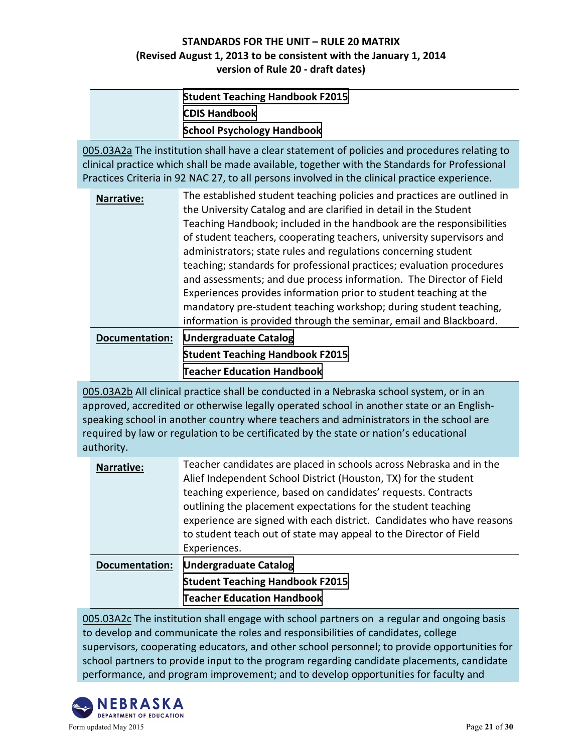| <b>Student Teaching Handbook F2015</b> |
|----------------------------------------|
| <b>CDIS Handbook</b>                   |
| <b>School Psychology Handbook</b>      |

005.03A2a The institution shall have a clear statement of policies and procedures relating to clinical practice which shall be made available, together with the Standards for Professional Practices Criteria in 92 NAC 27, to all persons involved in the clinical practice experience.

| <b>Narrative:</b>     | The established student teaching policies and practices are outlined in |
|-----------------------|-------------------------------------------------------------------------|
|                       | the University Catalog and are clarified in detail in the Student       |
|                       | Teaching Handbook; included in the handbook are the responsibilities    |
|                       | of student teachers, cooperating teachers, university supervisors and   |
|                       | administrators; state rules and regulations concerning student          |
|                       | teaching; standards for professional practices; evaluation procedures   |
|                       | and assessments; and due process information. The Director of Field     |
|                       | Experiences provides information prior to student teaching at the       |
|                       | mandatory pre-student teaching workshop; during student teaching,       |
|                       | information is provided through the seminar, email and Blackboard.      |
| <b>Documentation:</b> | <b>Undergraduate Catalog</b>                                            |
|                       | <b>Student Teaching Handbook F2015</b>                                  |
|                       | <b>Teacher Education Handbook</b>                                       |

005.03A2b All clinical practice shall be conducted in a Nebraska school system, or in an approved, accredited or otherwise legally operated school in another state or an Englishspeaking school in another country where teachers and administrators in the school are required by law or regulation to be certificated by the state or nation's educational authority.

| <b>Narrative:</b>     | Teacher candidates are placed in schools across Nebraska and in the<br>Alief Independent School District (Houston, TX) for the student<br>teaching experience, based on candidates' requests. Contracts<br>outlining the placement expectations for the student teaching<br>experience are signed with each district. Candidates who have reasons<br>to student teach out of state may appeal to the Director of Field |
|-----------------------|------------------------------------------------------------------------------------------------------------------------------------------------------------------------------------------------------------------------------------------------------------------------------------------------------------------------------------------------------------------------------------------------------------------------|
| <b>Documentation:</b> | Experiences.<br><b>Undergraduate Catalog</b>                                                                                                                                                                                                                                                                                                                                                                           |
|                       | <b>Student Teaching Handbook F2015</b>                                                                                                                                                                                                                                                                                                                                                                                 |
|                       |                                                                                                                                                                                                                                                                                                                                                                                                                        |
|                       | <b>Teacher Education Handbook</b>                                                                                                                                                                                                                                                                                                                                                                                      |

005.03A2c The institution shall engage with school partners on a regular and ongoing basis to develop and communicate the roles and responsibilities of candidates, college supervisors, cooperating educators, and other school personnel; to provide opportunities for school partners to provide input to the program regarding candidate placements, candidate performance, and program improvement; and to develop opportunities for faculty and

![](_page_20_Picture_7.jpeg)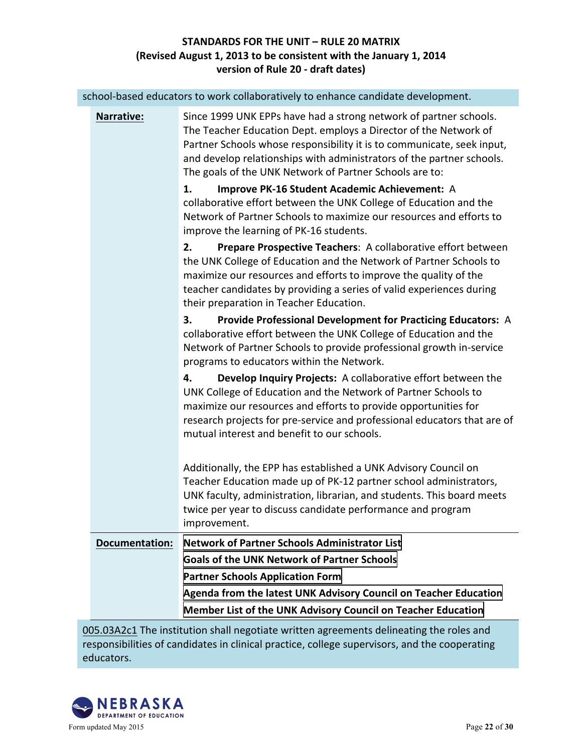|                       | school-based educators to work collaboratively to enhance candidate development.                                                                                                                                                                                                                                                                    |
|-----------------------|-----------------------------------------------------------------------------------------------------------------------------------------------------------------------------------------------------------------------------------------------------------------------------------------------------------------------------------------------------|
| <b>Narrative:</b>     | Since 1999 UNK EPPs have had a strong network of partner schools.<br>The Teacher Education Dept. employs a Director of the Network of<br>Partner Schools whose responsibility it is to communicate, seek input,<br>and develop relationships with administrators of the partner schools.<br>The goals of the UNK Network of Partner Schools are to: |
|                       | Improve PK-16 Student Academic Achievement: A<br>1.<br>collaborative effort between the UNK College of Education and the<br>Network of Partner Schools to maximize our resources and efforts to<br>improve the learning of PK-16 students.                                                                                                          |
|                       | Prepare Prospective Teachers: A collaborative effort between<br>2.<br>the UNK College of Education and the Network of Partner Schools to<br>maximize our resources and efforts to improve the quality of the<br>teacher candidates by providing a series of valid experiences during<br>their preparation in Teacher Education.                     |
|                       | Provide Professional Development for Practicing Educators: A<br>3.<br>collaborative effort between the UNK College of Education and the<br>Network of Partner Schools to provide professional growth in-service<br>programs to educators within the Network.                                                                                        |
|                       | Develop Inquiry Projects: A collaborative effort between the<br>4.<br>UNK College of Education and the Network of Partner Schools to<br>maximize our resources and efforts to provide opportunities for<br>research projects for pre-service and professional educators that are of<br>mutual interest and benefit to our schools.                  |
|                       | Additionally, the EPP has established a UNK Advisory Council on<br>Teacher Education made up of PK-12 partner school administrators,<br>UNK faculty, administration, librarian, and students. This board meets<br>twice per year to discuss candidate performance and program<br>improvement.                                                       |
| <b>Documentation:</b> | <b>Network of Partner Schools Administrator List</b>                                                                                                                                                                                                                                                                                                |
|                       | <b>Goals of the UNK Network of Partner Schools</b>                                                                                                                                                                                                                                                                                                  |
|                       | <b>Partner Schools Application Form</b>                                                                                                                                                                                                                                                                                                             |
|                       | Agenda from the latest UNK Advisory Council on Teacher Education                                                                                                                                                                                                                                                                                    |
|                       | Member List of the UNK Advisory Council on Teacher Education                                                                                                                                                                                                                                                                                        |

005.03A2c1 The institution shall negotiate written agreements delineating the roles and responsibilities of candidates in clinical practice, college supervisors, and the cooperating educators. 

![](_page_21_Picture_3.jpeg)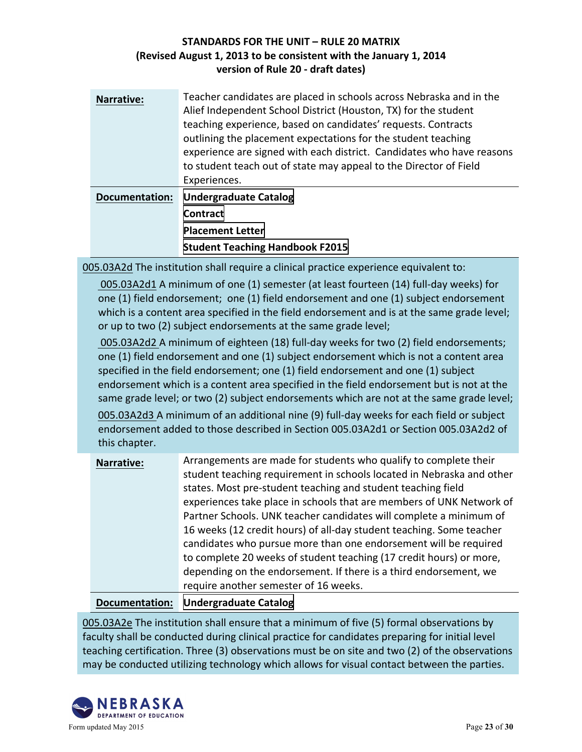| <b>Narrative:</b>     | Teacher candidates are placed in schools across Nebraska and in the<br>Alief Independent School District (Houston, TX) for the student<br>teaching experience, based on candidates' requests. Contracts<br>outlining the placement expectations for the student teaching<br>experience are signed with each district. Candidates who have reasons<br>to student teach out of state may appeal to the Director of Field<br>Experiences. |
|-----------------------|----------------------------------------------------------------------------------------------------------------------------------------------------------------------------------------------------------------------------------------------------------------------------------------------------------------------------------------------------------------------------------------------------------------------------------------|
| <b>Documentation:</b> | <b>Undergraduate Catalog</b>                                                                                                                                                                                                                                                                                                                                                                                                           |
|                       | <b>Contract</b>                                                                                                                                                                                                                                                                                                                                                                                                                        |
|                       | <b>Placement Letter</b>                                                                                                                                                                                                                                                                                                                                                                                                                |
|                       | <b>Student Teaching Handbook F2015</b>                                                                                                                                                                                                                                                                                                                                                                                                 |

005.03A2d The institution shall require a clinical practice experience equivalent to:

005.03A2d1 A minimum of one (1) semester (at least fourteen (14) full-day weeks) for one  $(1)$  field endorsement; one  $(1)$  field endorsement and one  $(1)$  subject endorsement which is a content area specified in the field endorsement and is at the same grade level; or up to two (2) subject endorsements at the same grade level;

005.03A2d2 A minimum of eighteen (18) full-day weeks for two (2) field endorsements; one  $(1)$  field endorsement and one  $(1)$  subject endorsement which is not a content area specified in the field endorsement; one  $(1)$  field endorsement and one  $(1)$  subject endorsement which is a content area specified in the field endorsement but is not at the same grade level; or two (2) subject endorsements which are not at the same grade level;

005.03A2d3 A minimum of an additional nine (9) full-day weeks for each field or subject endorsement added to those described in Section 005.03A2d1 or Section 005.03A2d2 of this chapter.

| <b>Narrative:</b> | Arrangements are made for students who qualify to complete their      |
|-------------------|-----------------------------------------------------------------------|
|                   | student teaching requirement in schools located in Nebraska and other |
|                   | states. Most pre-student teaching and student teaching field          |
|                   | experiences take place in schools that are members of UNK Network of  |
|                   | Partner Schools. UNK teacher candidates will complete a minimum of    |
|                   | 16 weeks (12 credit hours) of all-day student teaching. Some teacher  |
|                   | candidates who pursue more than one endorsement will be required      |
|                   | to complete 20 weeks of student teaching (17 credit hours) or more,   |
|                   | depending on the endorsement. If there is a third endorsement, we     |
|                   | require another semester of 16 weeks.                                 |

### **Documentation: [Undergraduate Catalog](http://www.unk.edu/academic_affairs/academic_publications/catalogs.php)**

005.03A2e The institution shall ensure that a minimum of five (5) formal observations by faculty shall be conducted during clinical practice for candidates preparing for initial level teaching certification. Three (3) observations must be on site and two (2) of the observations may be conducted utilizing technology which allows for visual contact between the parties.

![](_page_22_Picture_9.jpeg)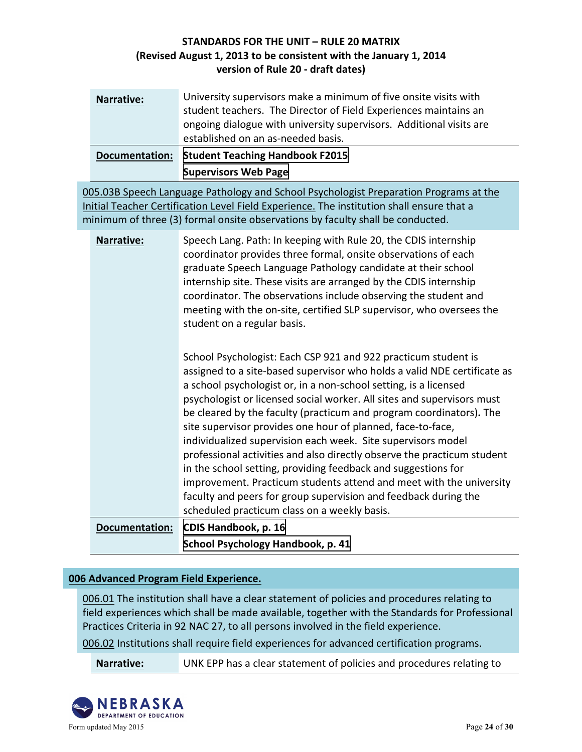| <b>Narrative:</b> | University supervisors make a minimum of five onsite visits with<br>student teachers. The Director of Field Experiences maintains an<br>ongoing dialogue with university supervisors. Additional visits are<br>established on an as-needed basis. |
|-------------------|---------------------------------------------------------------------------------------------------------------------------------------------------------------------------------------------------------------------------------------------------|
| Documentation:    | <b>Student Teaching Handbook F2015</b>                                                                                                                                                                                                            |
|                   | <b>Supervisors Web Page</b>                                                                                                                                                                                                                       |

005.03B Speech Language Pathology and School Psychologist Preparation Programs at the Initial Teacher Certification Level Field Experience. The institution shall ensure that a minimum of three (3) formal onsite observations by faculty shall be conducted.

| <b>Narrative:</b> | Speech Lang. Path: In keeping with Rule 20, the CDIS internship<br>coordinator provides three formal, onsite observations of each<br>graduate Speech Language Pathology candidate at their school<br>internship site. These visits are arranged by the CDIS internship<br>coordinator. The observations include observing the student and<br>meeting with the on-site, certified SLP supervisor, who oversees the<br>student on a regular basis. |
|-------------------|--------------------------------------------------------------------------------------------------------------------------------------------------------------------------------------------------------------------------------------------------------------------------------------------------------------------------------------------------------------------------------------------------------------------------------------------------|
|                   | School Psychologist: Each CSP 921 and 922 practicum student is<br>assigned to a site-based supervisor who holds a valid NDE certificate as<br>a school psychologist or, in a non-school setting, is a licensed                                                                                                                                                                                                                                   |

a school psychologist or, in a non-school setting, is a licensed psychologist or licensed social worker. All sites and supervisors must be cleared by the faculty (practicum and program coordinators). The site supervisor provides one hour of planned, face-to-face, individualized supervision each week. Site supervisors model professional activities and also directly observe the practicum student in the school setting, providing feedback and suggestions for improvement. Practicum students attend and meet with the university faculty and peers for group supervision and feedback during the scheduled practicum class on a weekly basis.

**Documentation: [CDIS Handbook, p. 16](http://unk.edu/academics/coe/_files/nde/CDIS Handbook Fall 2016 updated 72516.pdf) School Psychology Handbook, p. 41** 

### **006 Advanced Program Field Experience.**

006.01 The institution shall have a clear statement of policies and procedures relating to field experiences which shall be made available, together with the Standards for Professional Practices Criteria in 92 NAC 27, to all persons involved in the field experience.

006.02 Institutions shall require field experiences for advanced certification programs.

**Narrative:** UNK EPP has a clear statement of policies and procedures relating to

![](_page_23_Picture_10.jpeg)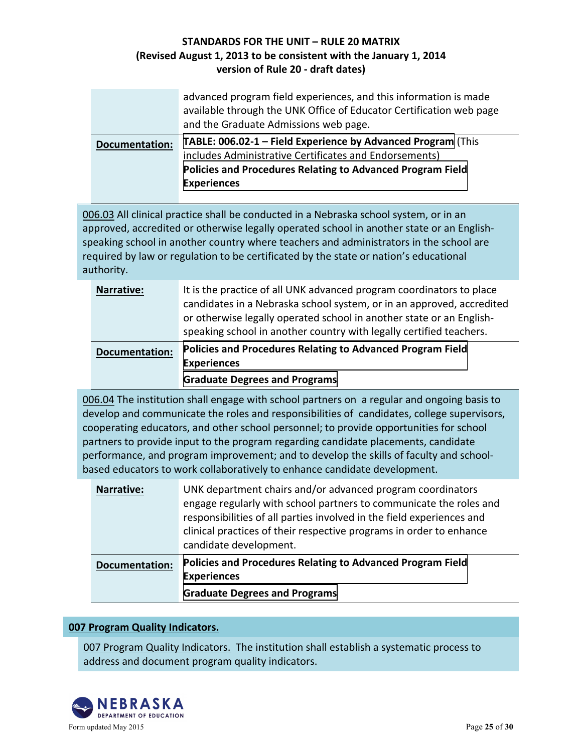|                       | advanced program field experiences, and this information is made<br>available through the UNK Office of Educator Certification web page<br>and the Graduate Admissions web page.                                  |
|-----------------------|-------------------------------------------------------------------------------------------------------------------------------------------------------------------------------------------------------------------|
| <b>Documentation:</b> | TABLE: 006.02-1 - Field Experience by Advanced Program (This<br>includes Administrative Certificates and Endorsements)<br><b>Policies and Procedures Relating to Advanced Program Field</b><br><b>Experiences</b> |

006.03 All clinical practice shall be conducted in a Nebraska school system, or in an approved, accredited or otherwise legally operated school in another state or an Englishspeaking school in another country where teachers and administrators in the school are required by law or regulation to be certificated by the state or nation's educational authority.

| <b>Narrative:</b>     | It is the practice of all UNK advanced program coordinators to place<br>candidates in a Nebraska school system, or in an approved, accredited<br>or otherwise legally operated school in another state or an English-<br>speaking school in another country with legally certified teachers. |
|-----------------------|----------------------------------------------------------------------------------------------------------------------------------------------------------------------------------------------------------------------------------------------------------------------------------------------|
| <b>Documentation:</b> | <b>Policies and Procedures Relating to Advanced Program Field</b><br><b>Experiences</b><br><b>Graduate Degrees and Programs</b>                                                                                                                                                              |

006.04 The institution shall engage with school partners on a regular and ongoing basis to develop and communicate the roles and responsibilities of candidates, college supervisors, cooperating educators, and other school personnel; to provide opportunities for school partners to provide input to the program regarding candidate placements, candidate performance, and program improvement; and to develop the skills of faculty and schoolbased educators to work collaboratively to enhance candidate development.

| <b>Narrative:</b>     | UNK department chairs and/or advanced program coordinators<br>engage regularly with school partners to communicate the roles and<br>responsibilities of all parties involved in the field experiences and<br>clinical practices of their respective programs in order to enhance<br>candidate development. |
|-----------------------|------------------------------------------------------------------------------------------------------------------------------------------------------------------------------------------------------------------------------------------------------------------------------------------------------------|
| <b>Documentation:</b> | <b>Policies and Procedures Relating to Advanced Program Field</b><br><b>Experiences</b><br><b>Graduate Degrees and Programs</b>                                                                                                                                                                            |

#### **007 Program Quality Indicators.**

007 Program Quality Indicators. The institution shall establish a systematic process to address and document program quality indicators.

![](_page_24_Picture_8.jpeg)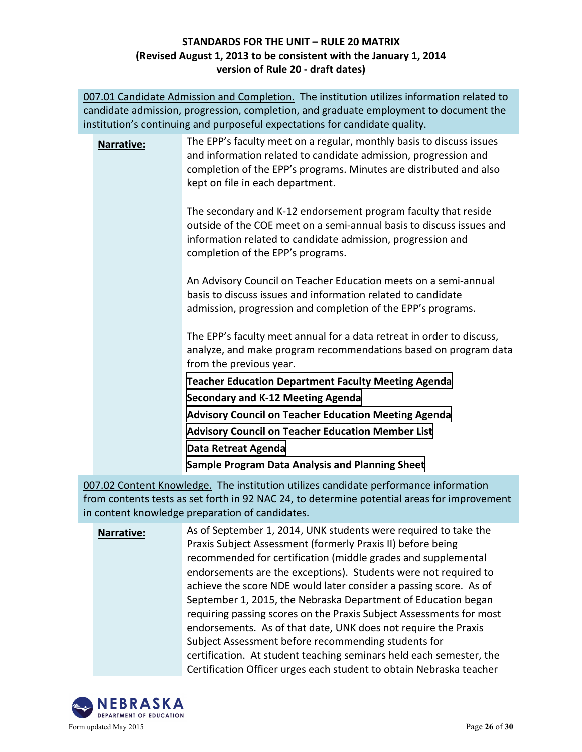007.01 Candidate Admission and Completion. The institution utilizes information related to candidate admission, progression, completion, and graduate employment to document the institution's continuing and purposeful expectations for candidate quality.

| information related to candidate admission, progression and<br>completion of the EPP's programs.                                                                                                |
|-------------------------------------------------------------------------------------------------------------------------------------------------------------------------------------------------|
| An Advisory Council on Teacher Education meets on a semi-annual<br>basis to discuss issues and information related to candidate<br>admission, progression and completion of the EPP's programs. |
| The EPP's faculty meet annual for a data retreat in order to discuss,<br>analyze, and make program recommendations based on program data<br>from the previous year.                             |
| <b>Teacher Education Department Faculty Meeting Agenda</b>                                                                                                                                      |
| <b>Secondary and K-12 Meeting Agenda</b>                                                                                                                                                        |
| <b>Advisory Council on Teacher Education Meeting Agenda</b>                                                                                                                                     |
| <b>Advisory Council on Teacher Education Member List</b>                                                                                                                                        |
| Data Retreat Agenda                                                                                                                                                                             |
| Sample Program Data Analysis and Planning Sheet                                                                                                                                                 |

007.02 Content Knowledge. The institution utilizes candidate performance information from contents tests as set forth in 92 NAC 24, to determine potential areas for improvement in content knowledge preparation of candidates.

**Narrative:** As of September 1, 2014, UNK students were required to take the Praxis Subject Assessment (formerly Praxis II) before being recommended for certification (middle grades and supplemental endorsements are the exceptions). Students were not required to achieve the score NDE would later consider a passing score. As of September 1, 2015, the Nebraska Department of Education began requiring passing scores on the Praxis Subject Assessments for most endorsements. As of that date, UNK does not require the Praxis Subject Assessment before recommending students for certification. At student teaching seminars held each semester, the Certification Officer urges each student to obtain Nebraska teacher

![](_page_25_Picture_5.jpeg)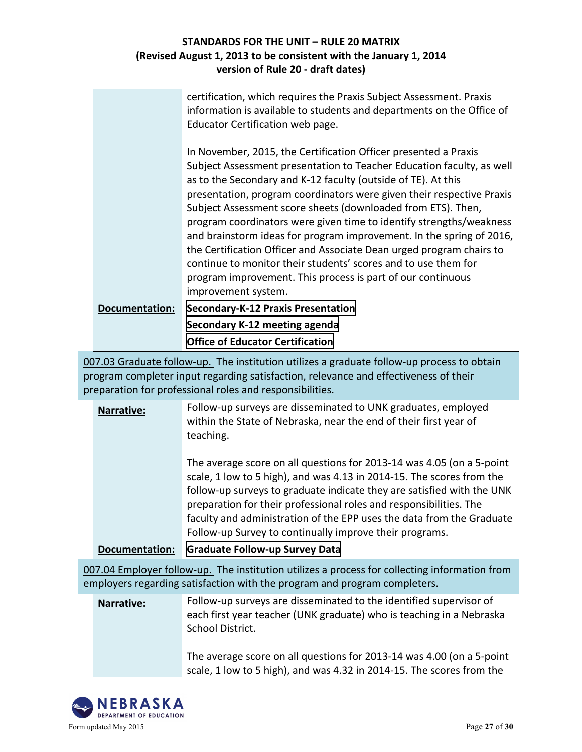|                       | certification, which requires the Praxis Subject Assessment. Praxis<br>information is available to students and departments on the Office of<br>Educator Certification web page.                                                                                                                                                                                                                                                                                                                                                                                                                                                                                                                                                  |
|-----------------------|-----------------------------------------------------------------------------------------------------------------------------------------------------------------------------------------------------------------------------------------------------------------------------------------------------------------------------------------------------------------------------------------------------------------------------------------------------------------------------------------------------------------------------------------------------------------------------------------------------------------------------------------------------------------------------------------------------------------------------------|
|                       | In November, 2015, the Certification Officer presented a Praxis<br>Subject Assessment presentation to Teacher Education faculty, as well<br>as to the Secondary and K-12 faculty (outside of TE). At this<br>presentation, program coordinators were given their respective Praxis<br>Subject Assessment score sheets (downloaded from ETS). Then,<br>program coordinators were given time to identify strengths/weakness<br>and brainstorm ideas for program improvement. In the spring of 2016,<br>the Certification Officer and Associate Dean urged program chairs to<br>continue to monitor their students' scores and to use them for<br>program improvement. This process is part of our continuous<br>improvement system. |
| <b>Documentation:</b> | <b>Secondary-K-12 Praxis Presentation</b>                                                                                                                                                                                                                                                                                                                                                                                                                                                                                                                                                                                                                                                                                         |
|                       | Secondary K-12 meeting agenda                                                                                                                                                                                                                                                                                                                                                                                                                                                                                                                                                                                                                                                                                                     |

**Office of Educator Certification** 

007.03 Graduate follow-up. The institution utilizes a graduate follow-up process to obtain program completer input regarding satisfaction, relevance and effectiveness of their preparation for professional roles and responsibilities.

|                   | faculty and administration of the EPP uses the data from the Graduate<br>Follow-up Survey to continually improve their programs.<br>Desumentation: Craduate Callow up Currey Data                                                                                                              |
|-------------------|------------------------------------------------------------------------------------------------------------------------------------------------------------------------------------------------------------------------------------------------------------------------------------------------|
|                   | The average score on all questions for 2013-14 was 4.05 (on a 5-point<br>scale, 1 low to 5 high), and was 4.13 in 2014-15. The scores from the<br>follow-up surveys to graduate indicate they are satisfied with the UNK<br>preparation for their professional roles and responsibilities. The |
| <b>Narrative:</b> | Follow-up surveys are disseminated to UNK graduates, employed<br>within the State of Nebraska, near the end of their first year of<br>teaching.                                                                                                                                                |
|                   |                                                                                                                                                                                                                                                                                                |

**Documentation: [Graduate Follow-up Survey Data](http://unk.edu/academics/coe/_files/nde2/Graduate Follow Up Survey Data.pdf)**

007.04 Employer follow-up. The institution utilizes a process for collecting information from employers regarding satisfaction with the program and program completers.

**Narrative:** Follow-up surveys are disseminated to the identified supervisor of each first year teacher (UNK graduate) who is teaching in a Nebraska School District.

> The average score on all questions for 2013-14 was 4.00 (on a 5-point scale, 1 low to 5 high), and was 4.32 in 2014-15. The scores from the

![](_page_26_Picture_9.jpeg)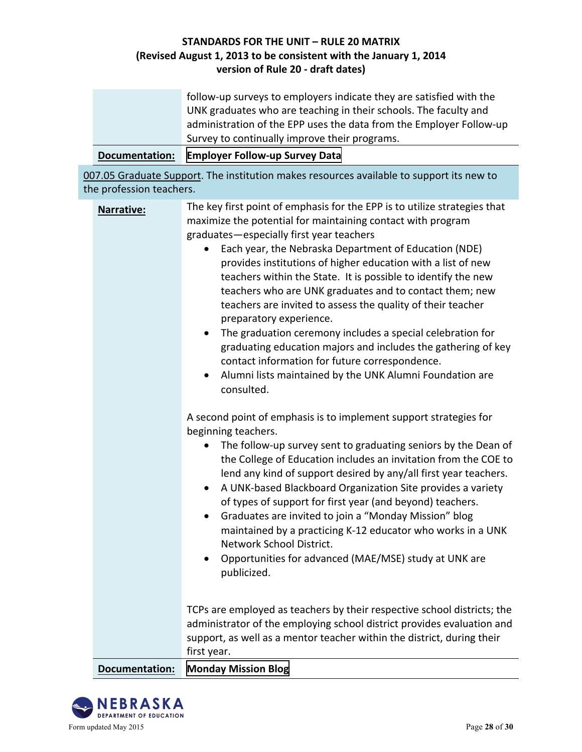|                          | follow-up surveys to employers indicate they are satisfied with the<br>UNK graduates who are teaching in their schools. The faculty and<br>administration of the EPP uses the data from the Employer Follow-up<br>Survey to continually improve their programs.                                                                                                                                                                                                                                                                                                                                                                                                                                                                                                                                                          |
|--------------------------|--------------------------------------------------------------------------------------------------------------------------------------------------------------------------------------------------------------------------------------------------------------------------------------------------------------------------------------------------------------------------------------------------------------------------------------------------------------------------------------------------------------------------------------------------------------------------------------------------------------------------------------------------------------------------------------------------------------------------------------------------------------------------------------------------------------------------|
| <b>Documentation:</b>    | <b>Employer Follow-up Survey Data</b>                                                                                                                                                                                                                                                                                                                                                                                                                                                                                                                                                                                                                                                                                                                                                                                    |
| the profession teachers. | 007.05 Graduate Support. The institution makes resources available to support its new to                                                                                                                                                                                                                                                                                                                                                                                                                                                                                                                                                                                                                                                                                                                                 |
| <b>Narrative:</b>        | The key first point of emphasis for the EPP is to utilize strategies that<br>maximize the potential for maintaining contact with program<br>graduates-especially first year teachers<br>Each year, the Nebraska Department of Education (NDE)<br>provides institutions of higher education with a list of new<br>teachers within the State. It is possible to identify the new<br>teachers who are UNK graduates and to contact them; new<br>teachers are invited to assess the quality of their teacher<br>preparatory experience.<br>The graduation ceremony includes a special celebration for<br>$\bullet$<br>graduating education majors and includes the gathering of key<br>contact information for future correspondence.<br>Alumni lists maintained by the UNK Alumni Foundation are<br>$\bullet$<br>consulted. |
|                          | A second point of emphasis is to implement support strategies for<br>beginning teachers.<br>The follow-up survey sent to graduating seniors by the Dean of<br>$\bullet$<br>the College of Education includes an invitation from the COE to<br>lend any kind of support desired by any/all first year teachers.<br>A UNK-based Blackboard Organization Site provides a variety<br>of types of support for first year (and beyond) teachers.                                                                                                                                                                                                                                                                                                                                                                               |

- Graduates are invited to join a "Monday Mission" blog maintained by a practicing K-12 educator who works in a UNK Network School District.
- Opportunities for advanced (MAE/MSE) study at UNK are publicized.

TCPs are employed as teachers by their respective school districts; the administrator of the employing school district provides evaluation and support, as well as a mentor teacher within the district, during their first year.

**Documentation: [Monday Mission Blog](http://www.missionmonday.com/)**

![](_page_27_Picture_6.jpeg)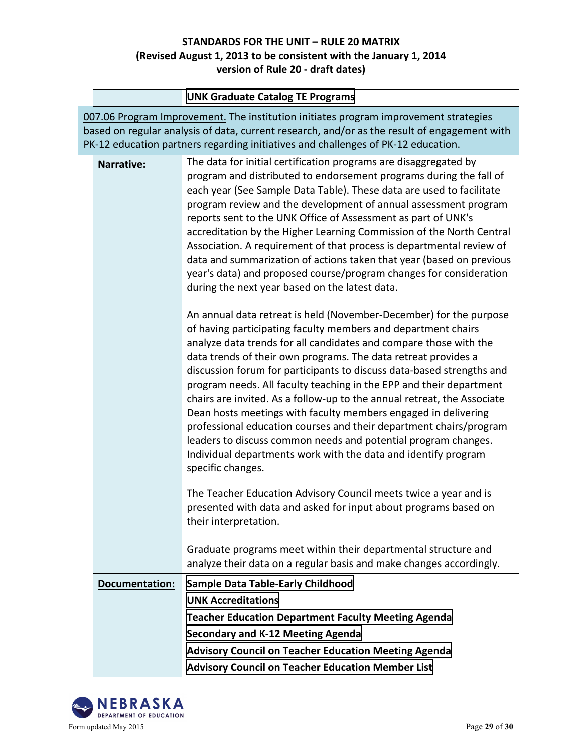#### **[UNK Graduate Catalog TE Programs](http://aaunk.unk.edu/gradcatalogs/current/prog/progTE.asp)**

007.06 Program Improvement. The institution initiates program improvement strategies based on regular analysis of data, current research, and/or as the result of engagement with PK-12 education partners regarding initiatives and challenges of PK-12 education.

**Narrative:** The data for initial certification programs are disaggregated by program and distributed to endorsement programs during the fall of each year (See Sample Data Table). These data are used to facilitate program review and the development of annual assessment program reports sent to the UNK Office of Assessment as part of UNK's accreditation by the Higher Learning Commission of the North Central Association. A requirement of that process is departmental review of data and summarization of actions taken that year (based on previous year's data) and proposed course/program changes for consideration during the next year based on the latest data.

> An annual data retreat is held (November-December) for the purpose of having participating faculty members and department chairs analyze data trends for all candidates and compare those with the data trends of their own programs. The data retreat provides a discussion forum for participants to discuss data-based strengths and program needs. All faculty teaching in the EPP and their department chairs are invited. As a follow-up to the annual retreat, the Associate Dean hosts meetings with faculty members engaged in delivering professional education courses and their department chairs/program leaders to discuss common needs and potential program changes. Individual departments work with the data and identify program specific changes.

The Teacher Education Advisory Council meets twice a year and is presented with data and asked for input about programs based on their interpretation.

Graduate programs meet within their departmental structure and analyze their data on a regular basis and make changes accordingly.

| <b>Documentation:</b> | <b>Sample Data Table-Early Childhood</b>                    |
|-----------------------|-------------------------------------------------------------|
|                       | <b>UNK Accreditations</b>                                   |
|                       | <b>Teacher Education Department Faculty Meeting Agenda</b>  |
|                       | Secondary and K-12 Meeting Agenda                           |
|                       | <b>Advisory Council on Teacher Education Meeting Agenda</b> |
|                       | <b>Advisory Council on Teacher Education Member List</b>    |

![](_page_28_Picture_8.jpeg)